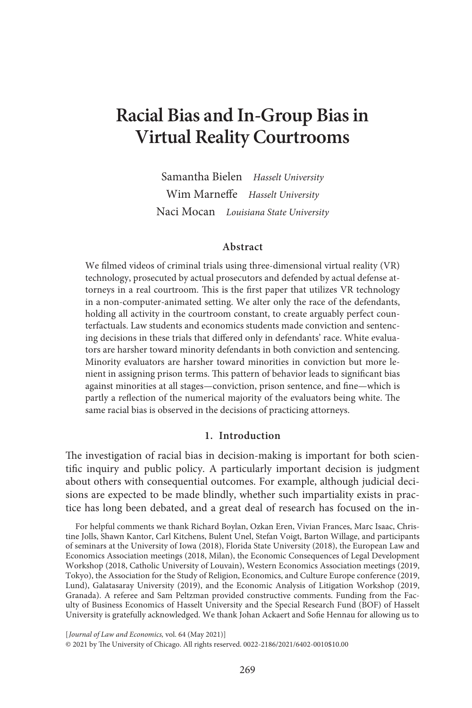# **Racial Bias and In-Group Bias in Virtual Reality Courtrooms**

Samantha Bielen *Hasselt University* Wim Marneffe *Hasselt University* Naci Mocan *Louisiana State University*

#### **Abstract**

We filmed videos of criminal trials using three-dimensional virtual reality (VR) technology, prosecuted by actual prosecutors and defended by actual defense attorneys in a real courtroom. This is the first paper that utilizes VR technology in a non-computer-animated setting. We alter only the race of the defendants, holding all activity in the courtroom constant, to create arguably perfect counterfactuals. Law students and economics students made conviction and sentencing decisions in these trials that differed only in defendants' race. White evaluators are harsher toward minority defendants in both conviction and sentencing. Minority evaluators are harsher toward minorities in conviction but more lenient in assigning prison terms. This pattern of behavior leads to significant bias against minorities at all stages—conviction, prison sentence, and fine—which is partly a reflection of the numerical majority of the evaluators being white. The same racial bias is observed in the decisions of practicing attorneys.

## **1. Introduction**

The investigation of racial bias in decision-making is important for both scientific inquiry and public policy. A particularly important decision is judgment about others with consequential outcomes. For example, although judicial decisions are expected to be made blindly, whether such impartiality exists in practice has long been debated, and a great deal of research has focused on the in-

For helpful comments we thank Richard Boylan, Ozkan Eren, Vivian Frances, Marc Isaac, Christine Jolls, Shawn Kantor, Carl Kitchens, Bulent Unel, Stefan Voigt, Barton Willage, and participants of seminars at the University of Iowa (2018), Florida State University (2018), the European Law and Economics Association meetings (2018, Milan), the Economic Consequences of Legal Development Workshop (2018, Catholic University of Louvain), Western Economics Association meetings (2019, Tokyo), the Association for the Study of Religion, Economics, and Culture Europe conference (2019, Lund), Galatasaray University (2019), and the Economic Analysis of Litigation Workshop (2019, Granada). A referee and Sam Peltzman provided constructive comments. Funding from the Faculty of Business Economics of Hasselt University and the Special Research Fund (BOF) of Hasselt University is gratefully acknowledged. We thank Johan Ackaert and Sofie Hennau for allowing us to

[ *Journal of Law and Economics,* vol. 64 (May 2021)] © 2021 by The University of Chicago. All rights reserved. 0022-2186/2021/6402-0010\$10.00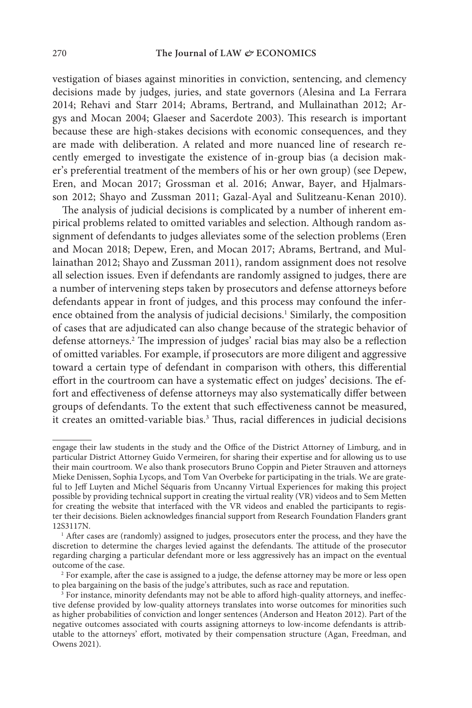vestigation of biases against minorities in conviction, sentencing, and clemency decisions made by judges, juries, and state governors (Alesina and La Ferrara 2014; Rehavi and Starr 2014; Abrams, Bertrand, and Mullainathan 2012; Argys and Mocan 2004; Glaeser and Sacerdote 2003). This research is important because these are high-stakes decisions with economic consequences, and they are made with deliberation. A related and more nuanced line of research recently emerged to investigate the existence of in-group bias (a decision maker's preferential treatment of the members of his or her own group) (see Depew, Eren, and Mocan 2017; Grossman et al. 2016; Anwar, Bayer, and Hjalmarsson 2012; Shayo and Zussman 2011; Gazal-Ayal and Sulitzeanu-Kenan 2010).

The analysis of judicial decisions is complicated by a number of inherent empirical problems related to omitted variables and selection. Although random assignment of defendants to judges alleviates some of the selection problems (Eren and Mocan 2018; Depew, Eren, and Mocan 2017; Abrams, Bertrand, and Mullainathan 2012; Shayo and Zussman 2011), random assignment does not resolve all selection issues. Even if defendants are randomly assigned to judges, there are a number of intervening steps taken by prosecutors and defense attorneys before defendants appear in front of judges, and this process may confound the inference obtained from the analysis of judicial decisions.<sup>1</sup> Similarly, the composition of cases that are adjudicated can also change because of the strategic behavior of defense attorneys.2 The impression of judges' racial bias may also be a reflection of omitted variables. For example, if prosecutors are more diligent and aggressive toward a certain type of defendant in comparison with others, this differential effort in the courtroom can have a systematic effect on judges' decisions. The effort and effectiveness of defense attorneys may also systematically differ between groups of defendants. To the extent that such effectiveness cannot be measured, it creates an omitted-variable bias.<sup>3</sup> Thus, racial differences in judicial decisions

engage their law students in the study and the Office of the District Attorney of Limburg, and in particular District Attorney Guido Vermeiren, for sharing their expertise and for allowing us to use their main courtroom. We also thank prosecutors Bruno Coppin and Pieter Strauven and attorneys Mieke Denissen, Sophia Lycops, and Tom Van Overbeke for participating in the trials. We are grateful to Jeff Luyten and Michel Séquaris from Uncanny Virtual Experiences for making this project possible by providing technical support in creating the virtual reality (VR) videos and to Sem Metten for creating the website that interfaced with the VR videos and enabled the participants to register their decisions. Bielen acknowledges financial support from Research Foundation Flanders grant 12S3117N.

 $<sup>1</sup>$  After cases are (randomly) assigned to judges, prosecutors enter the process, and they have the</sup> discretion to determine the charges levied against the defendants. The attitude of the prosecutor regarding charging a particular defendant more or less aggressively has an impact on the eventual outcome of the case.

<sup>&</sup>lt;sup>2</sup> For example, after the case is assigned to a judge, the defense attorney may be more or less open to plea bargaining on the basis of the judge's attributes, such as race and reputation.

 $\frac{3}{3}$  For instance, minority defendants may not be able to afford high-quality attorneys, and ineffective defense provided by low-quality attorneys translates into worse outcomes for minorities such as higher probabilities of conviction and longer sentences (Anderson and Heaton 2012). Part of the negative outcomes associated with courts assigning attorneys to low-income defendants is attributable to the attorneys' effort, motivated by their compensation structure (Agan, Freedman, and Owens 2021).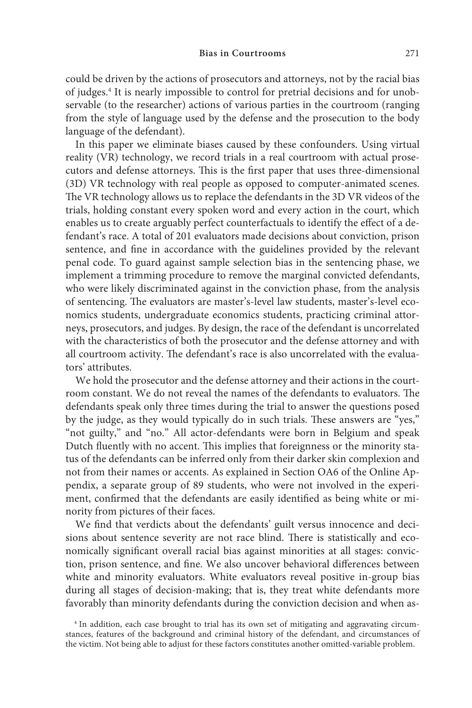could be driven by the actions of prosecutors and attorneys, not by the racial bias of judges.<sup>4</sup> It is nearly impossible to control for pretrial decisions and for unobservable (to the researcher) actions of various parties in the courtroom (ranging from the style of language used by the defense and the prosecution to the body language of the defendant).

In this paper we eliminate biases caused by these confounders. Using virtual reality (VR) technology, we record trials in a real courtroom with actual prosecutors and defense attorneys. This is the first paper that uses three-dimensional (3D) VR technology with real people as opposed to computer-animated scenes. The VR technology allows us to replace the defendants in the 3D VR videos of the trials, holding constant every spoken word and every action in the court, which enables us to create arguably perfect counterfactuals to identify the effect of a defendant's race. A total of 201 evaluators made decisions about conviction, prison sentence, and fine in accordance with the guidelines provided by the relevant penal code. To guard against sample selection bias in the sentencing phase, we implement a trimming procedure to remove the marginal convicted defendants, who were likely discriminated against in the conviction phase, from the analysis of sentencing. The evaluators are master's-level law students, master's-level economics students, undergraduate economics students, practicing criminal attorneys, prosecutors, and judges. By design, the race of the defendant is uncorrelated with the characteristics of both the prosecutor and the defense attorney and with all courtroom activity. The defendant's race is also uncorrelated with the evaluators' attributes.

We hold the prosecutor and the defense attorney and their actions in the courtroom constant. We do not reveal the names of the defendants to evaluators. The defendants speak only three times during the trial to answer the questions posed by the judge, as they would typically do in such trials. These answers are "yes," "not guilty," and "no." All actor-defendants were born in Belgium and speak Dutch fluently with no accent. This implies that foreignness or the minority status of the defendants can be inferred only from their darker skin complexion and not from their names or accents. As explained in Section OA6 of the Online Appendix, a separate group of 89 students, who were not involved in the experiment, confirmed that the defendants are easily identified as being white or minority from pictures of their faces.

We find that verdicts about the defendants' guilt versus innocence and decisions about sentence severity are not race blind. There is statistically and economically significant overall racial bias against minorities at all stages: conviction, prison sentence, and fine. We also uncover behavioral differences between white and minority evaluators. White evaluators reveal positive in-group bias during all stages of decision-making; that is, they treat white defendants more favorably than minority defendants during the conviction decision and when as-

<sup>&</sup>lt;sup>4</sup> In addition, each case brought to trial has its own set of mitigating and aggravating circumstances, features of the background and criminal history of the defendant, and circumstances of the victim. Not being able to adjust for these factors constitutes another omitted-variable problem.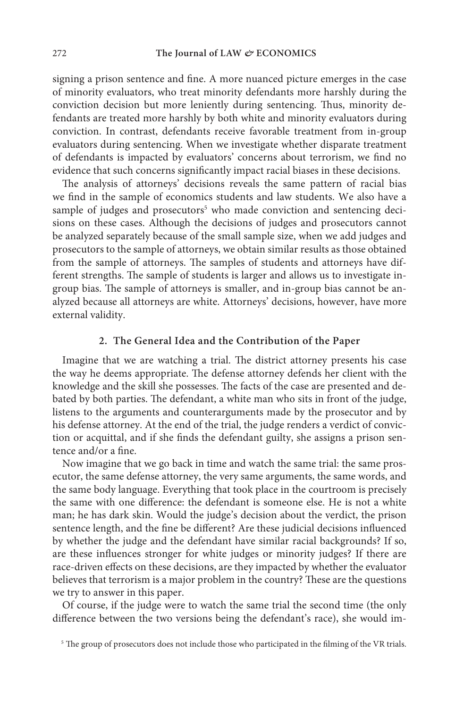signing a prison sentence and fine. A more nuanced picture emerges in the case of minority evaluators, who treat minority defendants more harshly during the conviction decision but more leniently during sentencing. Thus, minority defendants are treated more harshly by both white and minority evaluators during conviction. In contrast, defendants receive favorable treatment from in-group evaluators during sentencing. When we investigate whether disparate treatment of defendants is impacted by evaluators' concerns about terrorism, we find no evidence that such concerns significantly impact racial biases in these decisions.

The analysis of attorneys' decisions reveals the same pattern of racial bias we find in the sample of economics students and law students. We also have a sample of judges and prosecutors<sup>5</sup> who made conviction and sentencing decisions on these cases. Although the decisions of judges and prosecutors cannot be analyzed separately because of the small sample size, when we add judges and prosecutors to the sample of attorneys, we obtain similar results as those obtained from the sample of attorneys. The samples of students and attorneys have different strengths. The sample of students is larger and allows us to investigate ingroup bias. The sample of attorneys is smaller, and in-group bias cannot be analyzed because all attorneys are white. Attorneys' decisions, however, have more external validity.

#### **2. The General Idea and the Contribution of the Paper**

Imagine that we are watching a trial. The district attorney presents his case the way he deems appropriate. The defense attorney defends her client with the knowledge and the skill she possesses. The facts of the case are presented and debated by both parties. The defendant, a white man who sits in front of the judge, listens to the arguments and counterarguments made by the prosecutor and by his defense attorney. At the end of the trial, the judge renders a verdict of conviction or acquittal, and if she finds the defendant guilty, she assigns a prison sentence and/or a fine.

Now imagine that we go back in time and watch the same trial: the same prosecutor, the same defense attorney, the very same arguments, the same words, and the same body language. Everything that took place in the courtroom is precisely the same with one difference: the defendant is someone else. He is not a white man; he has dark skin. Would the judge's decision about the verdict, the prison sentence length, and the fine be different? Are these judicial decisions influenced by whether the judge and the defendant have similar racial backgrounds? If so, are these influences stronger for white judges or minority judges? If there are race-driven effects on these decisions, are they impacted by whether the evaluator believes that terrorism is a major problem in the country? These are the questions we try to answer in this paper.

Of course, if the judge were to watch the same trial the second time (the only difference between the two versions being the defendant's race), she would im-

<sup>&</sup>lt;sup>5</sup> The group of prosecutors does not include those who participated in the filming of the VR trials.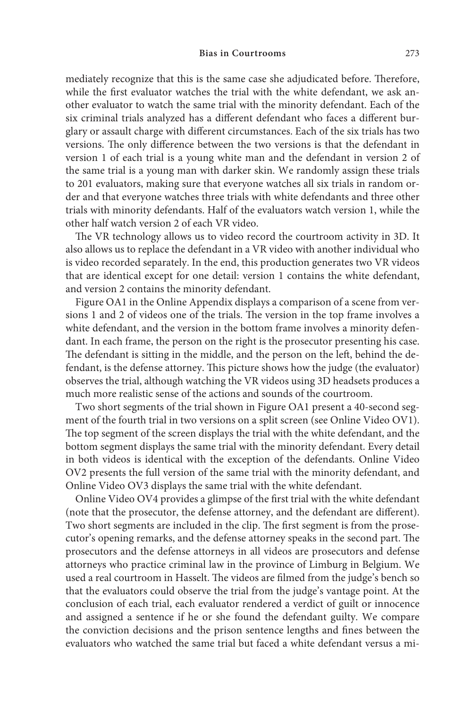mediately recognize that this is the same case she adjudicated before. Therefore, while the first evaluator watches the trial with the white defendant, we ask another evaluator to watch the same trial with the minority defendant. Each of the six criminal trials analyzed has a different defendant who faces a different burglary or assault charge with different circumstances. Each of the six trials has two versions. The only difference between the two versions is that the defendant in version 1 of each trial is a young white man and the defendant in version 2 of the same trial is a young man with darker skin. We randomly assign these trials to 201 evaluators, making sure that everyone watches all six trials in random order and that everyone watches three trials with white defendants and three other trials with minority defendants. Half of the evaluators watch version 1, while the other half watch version 2 of each VR video.

The VR technology allows us to video record the courtroom activity in 3D. It also allows us to replace the defendant in a VR video with another individual who is video recorded separately. In the end, this production generates two VR videos that are identical except for one detail: version 1 contains the white defendant, and version 2 contains the minority defendant.

Figure OA1 in the Online Appendix displays a comparison of a scene from versions 1 and 2 of videos one of the trials. The version in the top frame involves a white defendant, and the version in the bottom frame involves a minority defendant. In each frame, the person on the right is the prosecutor presenting his case. The defendant is sitting in the middle, and the person on the left, behind the defendant, is the defense attorney. This picture shows how the judge (the evaluator) observes the trial, although watching the VR videos using 3D headsets produces a much more realistic sense of the actions and sounds of the courtroom.

Two short segments of the trial shown in Figure OA1 present a 40-second segment of the fourth trial in two versions on a split screen (see Online Video OV1). The top segment of the screen displays the trial with the white defendant, and the bottom segment displays the same trial with the minority defendant. Every detail in both videos is identical with the exception of the defendants. Online Video OV2 presents the full version of the same trial with the minority defendant, and Online Video OV3 displays the same trial with the white defendant.

Online Video OV4 provides a glimpse of the first trial with the white defendant (note that the prosecutor, the defense attorney, and the defendant are different). Two short segments are included in the clip. The first segment is from the prosecutor's opening remarks, and the defense attorney speaks in the second part. The prosecutors and the defense attorneys in all videos are prosecutors and defense attorneys who practice criminal law in the province of Limburg in Belgium. We used a real courtroom in Hasselt. The videos are filmed from the judge's bench so that the evaluators could observe the trial from the judge's vantage point. At the conclusion of each trial, each evaluator rendered a verdict of guilt or innocence and assigned a sentence if he or she found the defendant guilty. We compare the conviction decisions and the prison sentence lengths and fines between the evaluators who watched the same trial but faced a white defendant versus a mi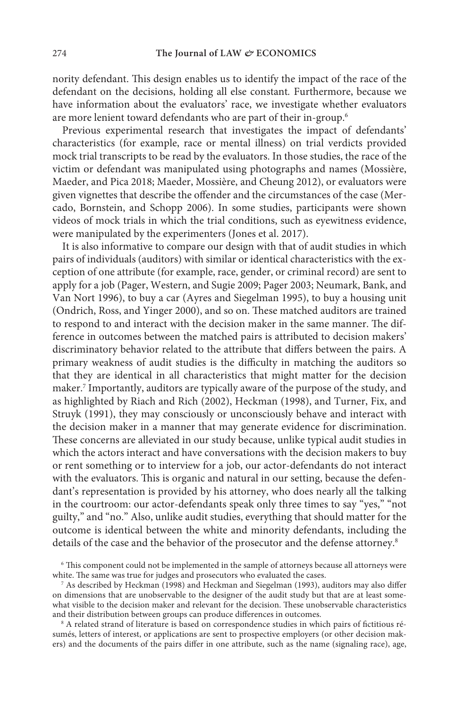nority defendant. This design enables us to identify the impact of the race of the defendant on the decisions, holding all else constant*.* Furthermore, because we have information about the evaluators' race, we investigate whether evaluators are more lenient toward defendants who are part of their in-group.6

Previous experimental research that investigates the impact of defendants' characteristics (for example, race or mental illness) on trial verdicts provided mock trial transcripts to be read by the evaluators. In those studies, the race of the victim or defendant was manipulated using photographs and names (Mossière, Maeder, and Pica 2018; Maeder, Mossière, and Cheung 2012), or evaluators were given vignettes that describe the offender and the circumstances of the case (Mercado, Bornstein, and Schopp 2006). In some studies, participants were shown videos of mock trials in which the trial conditions, such as eyewitness evidence, were manipulated by the experimenters (Jones et al. 2017).

It is also informative to compare our design with that of audit studies in which pairs of individuals (auditors) with similar or identical characteristics with the exception of one attribute (for example, race, gender, or criminal record) are sent to apply for a job (Pager, Western, and Sugie 2009; Pager 2003; Neumark, Bank, and Van Nort 1996), to buy a car (Ayres and Siegelman 1995), to buy a housing unit (Ondrich, Ross, and Yinger 2000), and so on. These matched auditors are trained to respond to and interact with the decision maker in the same manner. The difference in outcomes between the matched pairs is attributed to decision makers' discriminatory behavior related to the attribute that differs between the pairs. A primary weakness of audit studies is the difficulty in matching the auditors so that they are identical in all characteristics that might matter for the decision maker.7 Importantly, auditors are typically aware of the purpose of the study, and as highlighted by Riach and Rich (2002), Heckman (1998), and Turner, Fix, and Struyk (1991), they may consciously or unconsciously behave and interact with the decision maker in a manner that may generate evidence for discrimination. These concerns are alleviated in our study because, unlike typical audit studies in which the actors interact and have conversations with the decision makers to buy or rent something or to interview for a job, our actor-defendants do not interact with the evaluators. This is organic and natural in our setting, because the defendant's representation is provided by his attorney, who does nearly all the talking in the courtroom: our actor-defendants speak only three times to say "yes," "not guilty," and "no." Also, unlike audit studies, everything that should matter for the outcome is identical between the white and minority defendants, including the details of the case and the behavior of the prosecutor and the defense attorney.<sup>8</sup>

<sup>6</sup> This component could not be implemented in the sample of attorneys because all attorneys were white. The same was true for judges and prosecutors who evaluated the cases.

<sup>7</sup> As described by Heckman (1998) and Heckman and Siegelman (1993), auditors may also differ on dimensions that are unobservable to the designer of the audit study but that are at least somewhat visible to the decision maker and relevant for the decision. These unobservable characteristics and their distribution between groups can produce differences in outcomes.

<sup>&</sup>lt;sup>8</sup> A related strand of literature is based on correspondence studies in which pairs of fictitious résumés, letters of interest, or applications are sent to prospective employers (or other decision makers) and the documents of the pairs differ in one attribute, such as the name (signaling race), age,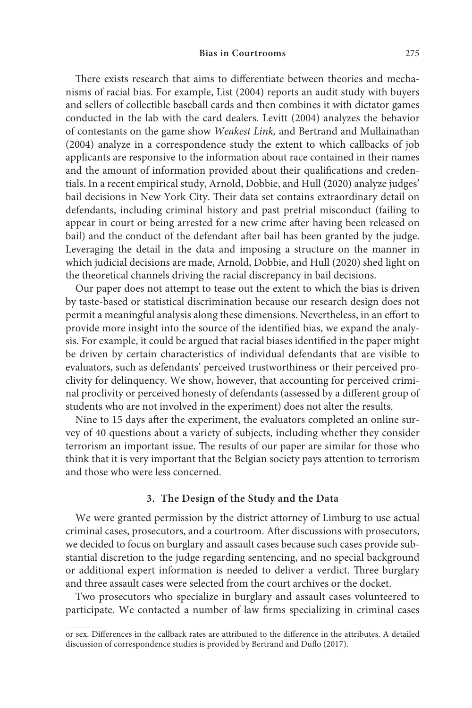#### **Bias in Courtrooms** 275

There exists research that aims to differentiate between theories and mechanisms of racial bias. For example, List (2004) reports an audit study with buyers and sellers of collectible baseball cards and then combines it with dictator games conducted in the lab with the card dealers. Levitt (2004) analyzes the behavior of contestants on the game show *Weakest Link,* and Bertrand and Mullainathan (2004) analyze in a correspondence study the extent to which callbacks of job applicants are responsive to the information about race contained in their names and the amount of information provided about their qualifications and credentials. In a recent empirical study, Arnold, Dobbie, and Hull (2020) analyze judges' bail decisions in New York City. Their data set contains extraordinary detail on defendants, including criminal history and past pretrial misconduct (failing to appear in court or being arrested for a new crime after having been released on bail) and the conduct of the defendant after bail has been granted by the judge. Leveraging the detail in the data and imposing a structure on the manner in which judicial decisions are made, Arnold, Dobbie, and Hull (2020) shed light on the theoretical channels driving the racial discrepancy in bail decisions.

Our paper does not attempt to tease out the extent to which the bias is driven by taste-based or statistical discrimination because our research design does not permit a meaningful analysis along these dimensions. Nevertheless, in an effort to provide more insight into the source of the identified bias, we expand the analysis. For example, it could be argued that racial biases identified in the paper might be driven by certain characteristics of individual defendants that are visible to evaluators, such as defendants' perceived trustworthiness or their perceived proclivity for delinquency. We show, however, that accounting for perceived criminal proclivity or perceived honesty of defendants (assessed by a different group of students who are not involved in the experiment) does not alter the results.

Nine to 15 days after the experiment, the evaluators completed an online survey of 40 questions about a variety of subjects, including whether they consider terrorism an important issue. The results of our paper are similar for those who think that it is very important that the Belgian society pays attention to terrorism and those who were less concerned.

#### **3. The Design of the Study and the Data**

We were granted permission by the district attorney of Limburg to use actual criminal cases, prosecutors, and a courtroom. After discussions with prosecutors, we decided to focus on burglary and assault cases because such cases provide substantial discretion to the judge regarding sentencing, and no special background or additional expert information is needed to deliver a verdict. Three burglary and three assault cases were selected from the court archives or the docket.

Two prosecutors who specialize in burglary and assault cases volunteered to participate. We contacted a number of law firms specializing in criminal cases

or sex. Differences in the callback rates are attributed to the difference in the attributes. A detailed discussion of correspondence studies is provided by Bertrand and Duflo (2017).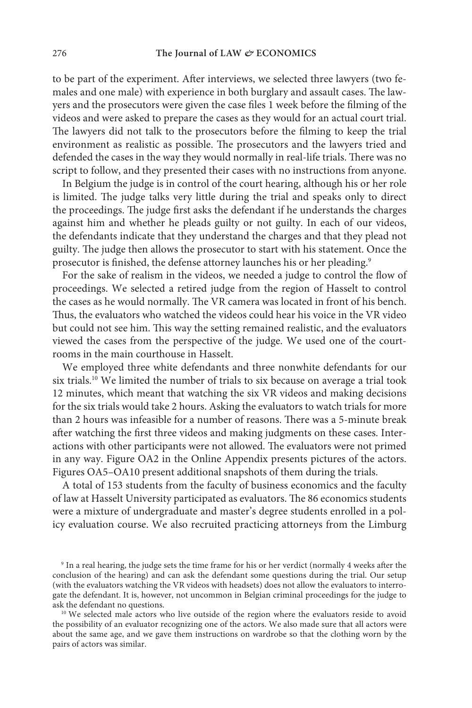to be part of the experiment. After interviews, we selected three lawyers (two females and one male) with experience in both burglary and assault cases. The lawyers and the prosecutors were given the case files 1 week before the filming of the videos and were asked to prepare the cases as they would for an actual court trial. The lawyers did not talk to the prosecutors before the filming to keep the trial environment as realistic as possible. The prosecutors and the lawyers tried and defended the cases in the way they would normally in real-life trials. There was no script to follow, and they presented their cases with no instructions from anyone.

In Belgium the judge is in control of the court hearing, although his or her role is limited. The judge talks very little during the trial and speaks only to direct the proceedings. The judge first asks the defendant if he understands the charges against him and whether he pleads guilty or not guilty. In each of our videos, the defendants indicate that they understand the charges and that they plead not guilty. The judge then allows the prosecutor to start with his statement. Once the prosecutor is finished, the defense attorney launches his or her pleading.<sup>9</sup>

For the sake of realism in the videos, we needed a judge to control the flow of proceedings. We selected a retired judge from the region of Hasselt to control the cases as he would normally. The VR camera was located in front of his bench. Thus, the evaluators who watched the videos could hear his voice in the VR video but could not see him. This way the setting remained realistic, and the evaluators viewed the cases from the perspective of the judge. We used one of the courtrooms in the main courthouse in Hasselt.

We employed three white defendants and three nonwhite defendants for our six trials.<sup>10</sup> We limited the number of trials to six because on average a trial took 12 minutes, which meant that watching the six VR videos and making decisions for the six trials would take 2 hours. Asking the evaluators to watch trials for more than 2 hours was infeasible for a number of reasons. There was a 5-minute break after watching the first three videos and making judgments on these cases. Interactions with other participants were not allowed. The evaluators were not primed in any way. Figure OA2 in the Online Appendix presents pictures of the actors. Figures OA5–OA10 present additional snapshots of them during the trials.

A total of 153 students from the faculty of business economics and the faculty of law at Hasselt University participated as evaluators. The 86 economics students were a mixture of undergraduate and master's degree students enrolled in a policy evaluation course. We also recruited practicing attorneys from the Limburg

<sup>9</sup> In a real hearing, the judge sets the time frame for his or her verdict (normally 4 weeks after the conclusion of the hearing) and can ask the defendant some questions during the trial. Our setup (with the evaluators watching the VR videos with headsets) does not allow the evaluators to interrogate the defendant. It is, however, not uncommon in Belgian criminal proceedings for the judge to ask the defendant no questions.

<sup>10</sup> We selected male actors who live outside of the region where the evaluators reside to avoid the possibility of an evaluator recognizing one of the actors. We also made sure that all actors were about the same age, and we gave them instructions on wardrobe so that the clothing worn by the pairs of actors was similar.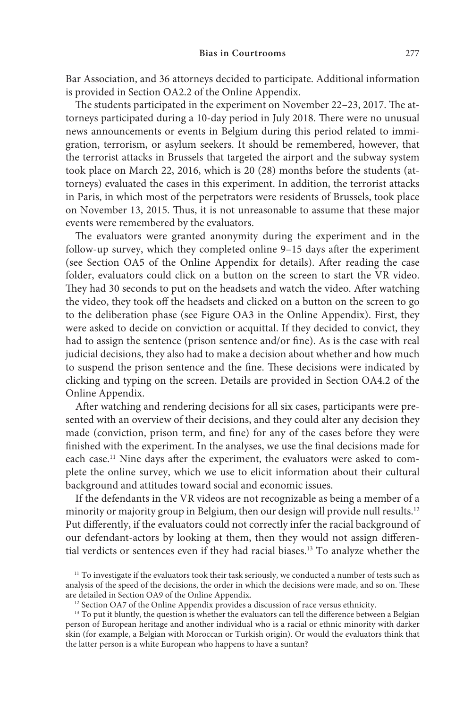Bar Association, and 36 attorneys decided to participate. Additional information is provided in Section OA2.2 of the Online Appendix.

The students participated in the experiment on November 22–23, 2017. The attorneys participated during a 10-day period in July 2018. There were no unusual news announcements or events in Belgium during this period related to immigration, terrorism, or asylum seekers. It should be remembered, however, that the terrorist attacks in Brussels that targeted the airport and the subway system took place on March 22, 2016, which is 20 (28) months before the students (attorneys) evaluated the cases in this experiment. In addition, the terrorist attacks in Paris, in which most of the perpetrators were residents of Brussels, took place on November 13, 2015. Thus, it is not unreasonable to assume that these major events were remembered by the evaluators.

The evaluators were granted anonymity during the experiment and in the follow-up survey, which they completed online 9–15 days after the experiment (see Section OA5 of the Online Appendix for details). After reading the case folder, evaluators could click on a button on the screen to start the VR video. They had 30 seconds to put on the headsets and watch the video. After watching the video, they took off the headsets and clicked on a button on the screen to go to the deliberation phase (see Figure OA3 in the Online Appendix). First, they were asked to decide on conviction or acquittal. If they decided to convict, they had to assign the sentence (prison sentence and/or fine). As is the case with real judicial decisions, they also had to make a decision about whether and how much to suspend the prison sentence and the fine. These decisions were indicated by clicking and typing on the screen. Details are provided in Section OA4.2 of the Online Appendix.

After watching and rendering decisions for all six cases, participants were presented with an overview of their decisions, and they could alter any decision they made (conviction, prison term, and fine) for any of the cases before they were finished with the experiment. In the analyses, we use the final decisions made for each case.<sup>11</sup> Nine days after the experiment, the evaluators were asked to complete the online survey, which we use to elicit information about their cultural background and attitudes toward social and economic issues.

If the defendants in the VR videos are not recognizable as being a member of a minority or majority group in Belgium, then our design will provide null results.<sup>12</sup> Put differently, if the evaluators could not correctly infer the racial background of our defendant-actors by looking at them, then they would not assign differential verdicts or sentences even if they had racial biases.13 To analyze whether the

<sup>&</sup>lt;sup>11</sup> To investigate if the evaluators took their task seriously, we conducted a number of tests such as analysis of the speed of the decisions, the order in which the decisions were made, and so on. These are detailed in Section OA9 of the Online Appendix.

<sup>&</sup>lt;sup>12</sup> Section OA7 of the Online Appendix provides a discussion of race versus ethnicity.

<sup>&</sup>lt;sup>13</sup> To put it bluntly, the question is whether the evaluators can tell the difference between a Belgian person of European heritage and another individual who is a racial or ethnic minority with darker skin (for example, a Belgian with Moroccan or Turkish origin). Or would the evaluators think that the latter person is a white European who happens to have a suntan?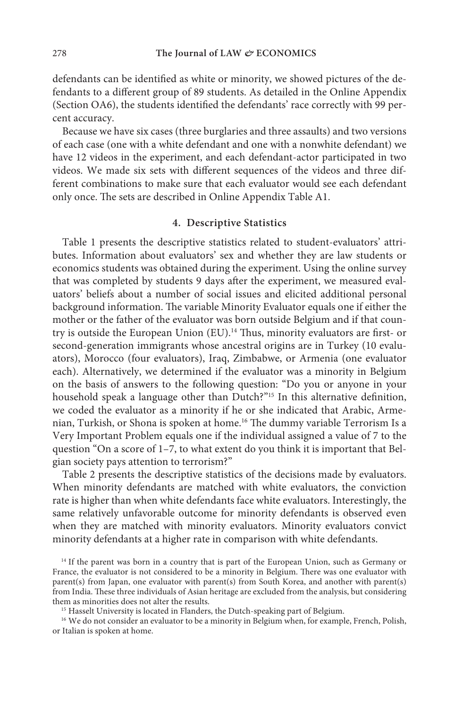defendants can be identified as white or minority, we showed pictures of the defendants to a different group of 89 students. As detailed in the Online Appendix (Section OA6), the students identified the defendants' race correctly with 99 percent accuracy.

Because we have six cases (three burglaries and three assaults) and two versions of each case (one with a white defendant and one with a nonwhite defendant) we have 12 videos in the experiment, and each defendant-actor participated in two videos. We made six sets with different sequences of the videos and three different combinations to make sure that each evaluator would see each defendant only once. The sets are described in Online Appendix Table A1.

## **4. Descriptive Statistics**

Table 1 presents the descriptive statistics related to student-evaluators' attributes. Information about evaluators' sex and whether they are law students or economics students was obtained during the experiment. Using the online survey that was completed by students 9 days after the experiment, we measured evaluators' beliefs about a number of social issues and elicited additional personal background information. The variable Minority Evaluator equals one if either the mother or the father of the evaluator was born outside Belgium and if that country is outside the European Union (EU).14 Thus, minority evaluators are first- or second-generation immigrants whose ancestral origins are in Turkey (10 evaluators), Morocco (four evaluators), Iraq, Zimbabwe, or Armenia (one evaluator each). Alternatively, we determined if the evaluator was a minority in Belgium on the basis of answers to the following question: "Do you or anyone in your household speak a language other than Dutch?"15 In this alternative definition, we coded the evaluator as a minority if he or she indicated that Arabic, Armenian, Turkish, or Shona is spoken at home.16 The dummy variable Terrorism Is a Very Important Problem equals one if the individual assigned a value of 7 to the question "On a score of 1–7, to what extent do you think it is important that Belgian society pays attention to terrorism?"

Table 2 presents the descriptive statistics of the decisions made by evaluators. When minority defendants are matched with white evaluators, the conviction rate is higher than when white defendants face white evaluators. Interestingly, the same relatively unfavorable outcome for minority defendants is observed even when they are matched with minority evaluators. Minority evaluators convict minority defendants at a higher rate in comparison with white defendants.

<sup>14</sup> If the parent was born in a country that is part of the European Union, such as Germany or France, the evaluator is not considered to be a minority in Belgium. There was one evaluator with parent(s) from Japan, one evaluator with parent(s) from South Korea, and another with parent(s) from India. These three individuals of Asian heritage are excluded from the analysis, but considering them as minorities does not alter the results.

<sup>15</sup> Hasselt University is located in Flanders, the Dutch-speaking part of Belgium.

<sup>16</sup> We do not consider an evaluator to be a minority in Belgium when, for example, French, Polish, or Italian is spoken at home.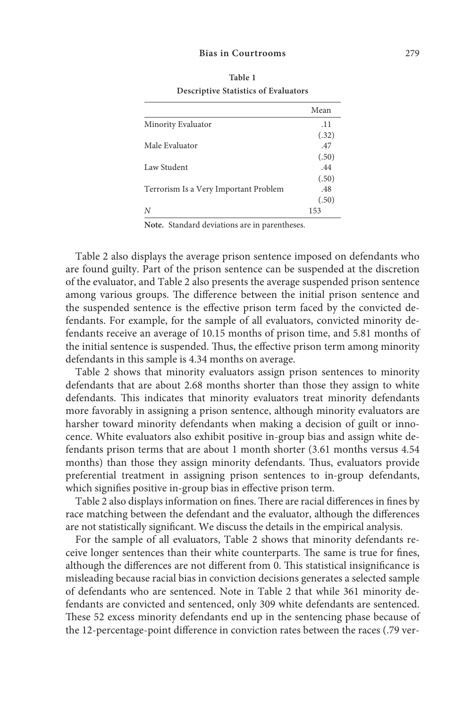#### **Bias in Courtrooms** 279

|                                       | Mean  |
|---------------------------------------|-------|
| Minority Evaluator                    | .11   |
|                                       | (.32) |
| Male Evaluator                        | .47   |
|                                       | (.50) |
| Law Student                           | .44   |
|                                       | (.50) |
| Terrorism Is a Very Important Problem | .48   |
|                                       | (.50) |
| N                                     | 153   |

**Table 1 Descriptive Statistics of Evaluators** 

**Note.** Standard deviations are in parentheses.

Table 2 also displays the average prison sentence imposed on defendants who are found guilty. Part of the prison sentence can be suspended at the discretion of the evaluator, and Table 2 also presents the average suspended prison sentence among various groups. The difference between the initial prison sentence and the suspended sentence is the effective prison term faced by the convicted defendants. For example, for the sample of all evaluators, convicted minority defendants receive an average of 10.15 months of prison time, and 5.81 months of the initial sentence is suspended. Thus, the effective prison term among minority defendants in this sample is 4.34 months on average.

Table 2 shows that minority evaluators assign prison sentences to minority defendants that are about 2.68 months shorter than those they assign to white defendants. This indicates that minority evaluators treat minority defendants more favorably in assigning a prison sentence, although minority evaluators are harsher toward minority defendants when making a decision of guilt or innocence. White evaluators also exhibit positive in-group bias and assign white defendants prison terms that are about 1 month shorter (3.61 months versus 4.54 months) than those they assign minority defendants. Thus, evaluators provide preferential treatment in assigning prison sentences to in-group defendants, which signifies positive in-group bias in effective prison term.

Table 2 also displays information on fines. There are racial differences in fines by race matching between the defendant and the evaluator, although the differences are not statistically significant. We discuss the details in the empirical analysis.

For the sample of all evaluators, Table 2 shows that minority defendants receive longer sentences than their white counterparts. The same is true for fines, although the differences are not different from 0. This statistical insignificance is misleading because racial bias in conviction decisions generates a selected sample of defendants who are sentenced. Note in Table 2 that while 361 minority defendants are convicted and sentenced, only 309 white defendants are sentenced. These 52 excess minority defendants end up in the sentencing phase because of the 12-percentage-point difference in conviction rates between the races (.79 ver-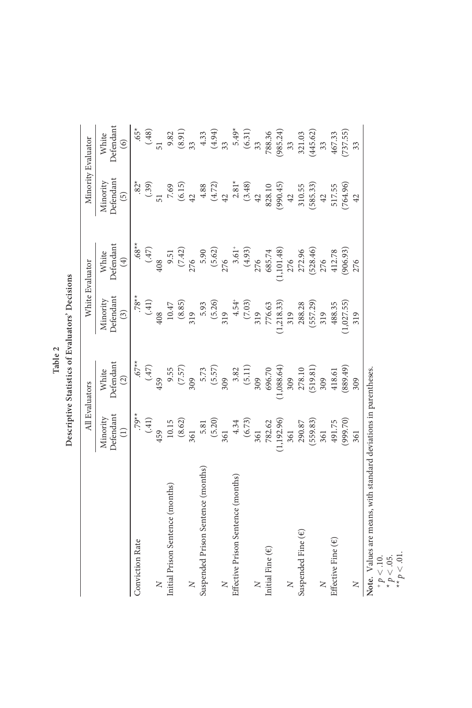| able 2 | cisions<br>valuators' I<br><b>Statistics of Ex-</b><br>escriptiv |
|--------|------------------------------------------------------------------|
|--------|------------------------------------------------------------------|

| $.68**$<br>White<br>Defendant<br>(47)<br>$\begin{array}{r} 5.90\\ (5.62)\\ 276\\ 3.61\\ (4.93)\\ 7/6\\ (3.64)\\ 7/6\\ (3.65.74\\ (1.101.48)\\ (1.101.48)\\ (7.236.46)\\ (7.238.46)\\ (7.238.46)\\ 276\\ \end{array}$<br>9.51<br>(7.42)<br>276<br>(906.93)<br>412.78<br>$\bigoplus$<br>408<br>276<br>$.78**$<br>Defendant<br>$4.54^{+}$<br>(7.03)<br>Minority<br>$(1,218.33)$<br>319<br>(41)<br>5.93<br>(5.26)<br>(8.85)<br>(557.29)<br>1,027.55<br>$10.47\,$<br>776.63<br>288.28<br>488.35<br>319<br>$\binom{3}{2}$<br>408<br>319<br>319<br>319<br>319<br>$67**$<br>White<br>Defendant<br>(47)<br>(7.57)<br>$\begin{array}{c} 5.73 \\ (5.57) \\ 309 \\ 3.82 \\ (5.11) \end{array}$<br>$696.70$<br>(1,088.64)<br>(519.81)<br>(889.49)<br>9.55<br>278.10<br>418.61<br>$\circled{2}$<br>309<br>309<br>459<br>309<br>309<br>309<br>$.79**$<br>Defendan<br>Minority<br>(41)<br>(8.62)<br>$5.81$<br>(5.20)<br>$4.34$<br>(6.73)<br>(1, 192.96)<br>(559.83)<br>(999.70)<br>10.15<br>782.62<br>290.87<br>491.75<br>361<br>$\widehat{\Xi}$<br>459<br>361<br>361<br>361<br>361<br>361<br>Suspended Prison Sentence (months)<br>Effective Prison Sentence (months)<br>Initial Prison Sentence (months)<br>Suspended Fine ( $\epsilon$<br>Effective Fine $(\epsilon)$<br>Conviction Rate<br>Initial Fine $(\epsilon)$<br>Z<br>Z<br>z<br>z | All Evaluators |  | White Evaluator | Minority Evaluator                      |                                      |
|------------------------------------------------------------------------------------------------------------------------------------------------------------------------------------------------------------------------------------------------------------------------------------------------------------------------------------------------------------------------------------------------------------------------------------------------------------------------------------------------------------------------------------------------------------------------------------------------------------------------------------------------------------------------------------------------------------------------------------------------------------------------------------------------------------------------------------------------------------------------------------------------------------------------------------------------------------------------------------------------------------------------------------------------------------------------------------------------------------------------------------------------------------------------------------------------------------------------------------------------------------------------------------------------------------------------------|----------------|--|-----------------|-----------------------------------------|--------------------------------------|
|                                                                                                                                                                                                                                                                                                                                                                                                                                                                                                                                                                                                                                                                                                                                                                                                                                                                                                                                                                                                                                                                                                                                                                                                                                                                                                                              |                |  |                 | Defendan<br>Minority<br>$\widetilde{5}$ | Defendant<br>White<br>$\circledcirc$ |
|                                                                                                                                                                                                                                                                                                                                                                                                                                                                                                                                                                                                                                                                                                                                                                                                                                                                                                                                                                                                                                                                                                                                                                                                                                                                                                                              |                |  |                 | $.82*$                                  | $.65*$                               |
|                                                                                                                                                                                                                                                                                                                                                                                                                                                                                                                                                                                                                                                                                                                                                                                                                                                                                                                                                                                                                                                                                                                                                                                                                                                                                                                              |                |  |                 | (.39)                                   | (48)                                 |
|                                                                                                                                                                                                                                                                                                                                                                                                                                                                                                                                                                                                                                                                                                                                                                                                                                                                                                                                                                                                                                                                                                                                                                                                                                                                                                                              |                |  |                 | 51                                      |                                      |
|                                                                                                                                                                                                                                                                                                                                                                                                                                                                                                                                                                                                                                                                                                                                                                                                                                                                                                                                                                                                                                                                                                                                                                                                                                                                                                                              |                |  |                 | 7.69                                    | 9.82                                 |
|                                                                                                                                                                                                                                                                                                                                                                                                                                                                                                                                                                                                                                                                                                                                                                                                                                                                                                                                                                                                                                                                                                                                                                                                                                                                                                                              |                |  |                 | (6.15)                                  | $\left( 8.91\right)$                 |
|                                                                                                                                                                                                                                                                                                                                                                                                                                                                                                                                                                                                                                                                                                                                                                                                                                                                                                                                                                                                                                                                                                                                                                                                                                                                                                                              |                |  |                 | 42                                      | 33 <sub>o</sub>                      |
|                                                                                                                                                                                                                                                                                                                                                                                                                                                                                                                                                                                                                                                                                                                                                                                                                                                                                                                                                                                                                                                                                                                                                                                                                                                                                                                              |                |  |                 | 4.88                                    | 4.33                                 |
|                                                                                                                                                                                                                                                                                                                                                                                                                                                                                                                                                                                                                                                                                                                                                                                                                                                                                                                                                                                                                                                                                                                                                                                                                                                                                                                              |                |  |                 | (4.72)                                  |                                      |
|                                                                                                                                                                                                                                                                                                                                                                                                                                                                                                                                                                                                                                                                                                                                                                                                                                                                                                                                                                                                                                                                                                                                                                                                                                                                                                                              |                |  |                 | 42                                      | $(4.94)$<br>33                       |
|                                                                                                                                                                                                                                                                                                                                                                                                                                                                                                                                                                                                                                                                                                                                                                                                                                                                                                                                                                                                                                                                                                                                                                                                                                                                                                                              |                |  |                 | $2.81*$                                 | $5.49*$                              |
|                                                                                                                                                                                                                                                                                                                                                                                                                                                                                                                                                                                                                                                                                                                                                                                                                                                                                                                                                                                                                                                                                                                                                                                                                                                                                                                              |                |  |                 | (3.48)                                  | $(6.31)$<br>33                       |
|                                                                                                                                                                                                                                                                                                                                                                                                                                                                                                                                                                                                                                                                                                                                                                                                                                                                                                                                                                                                                                                                                                                                                                                                                                                                                                                              |                |  |                 | 42                                      |                                      |
|                                                                                                                                                                                                                                                                                                                                                                                                                                                                                                                                                                                                                                                                                                                                                                                                                                                                                                                                                                                                                                                                                                                                                                                                                                                                                                                              |                |  |                 | 828.10                                  |                                      |
|                                                                                                                                                                                                                                                                                                                                                                                                                                                                                                                                                                                                                                                                                                                                                                                                                                                                                                                                                                                                                                                                                                                                                                                                                                                                                                                              |                |  |                 | (990.45)                                | 788.36<br>(985.24)                   |
|                                                                                                                                                                                                                                                                                                                                                                                                                                                                                                                                                                                                                                                                                                                                                                                                                                                                                                                                                                                                                                                                                                                                                                                                                                                                                                                              |                |  |                 | $42\,$                                  | 33                                   |
|                                                                                                                                                                                                                                                                                                                                                                                                                                                                                                                                                                                                                                                                                                                                                                                                                                                                                                                                                                                                                                                                                                                                                                                                                                                                                                                              |                |  |                 | 310.55                                  | 321.03                               |
|                                                                                                                                                                                                                                                                                                                                                                                                                                                                                                                                                                                                                                                                                                                                                                                                                                                                                                                                                                                                                                                                                                                                                                                                                                                                                                                              |                |  |                 | (585.33)                                | (445.62)                             |
|                                                                                                                                                                                                                                                                                                                                                                                                                                                                                                                                                                                                                                                                                                                                                                                                                                                                                                                                                                                                                                                                                                                                                                                                                                                                                                                              |                |  |                 | 42                                      | 33                                   |
|                                                                                                                                                                                                                                                                                                                                                                                                                                                                                                                                                                                                                                                                                                                                                                                                                                                                                                                                                                                                                                                                                                                                                                                                                                                                                                                              |                |  |                 | 517.55                                  | 467.33                               |
|                                                                                                                                                                                                                                                                                                                                                                                                                                                                                                                                                                                                                                                                                                                                                                                                                                                                                                                                                                                                                                                                                                                                                                                                                                                                                                                              |                |  |                 | (764.96)                                | (737.55)                             |
|                                                                                                                                                                                                                                                                                                                                                                                                                                                                                                                                                                                                                                                                                                                                                                                                                                                                                                                                                                                                                                                                                                                                                                                                                                                                                                                              |                |  |                 | 42                                      | 33                                   |

**Note.** Values are means, with standard deviations in parentheses.

+  $p < 10$ .<br>
\*  $p < 0.5$ .<br>
\*\*  $p < 0.1$ .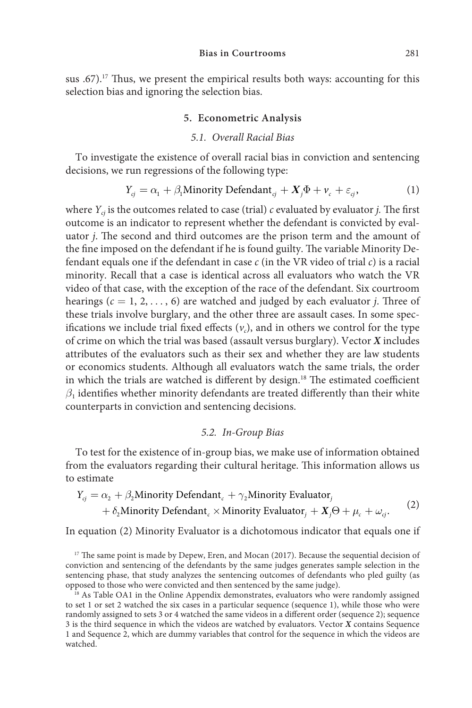sus .67).<sup>17</sup> Thus, we present the empirical results both ways: accounting for this selection bias and ignoring the selection bias.

## **5. Econometric Analysis**

#### *5.1. Overall Racial Bias*

To investigate the existence of overall racial bias in conviction and sentencing decisions, we run regressions of the following type:

$$
Y_{cj} = \alpha_1 + \beta_1 \text{Minority Defendant}_{cj} + X_j \Phi + \nu_c + \varepsilon_{cj}, \tag{1}
$$

where  $Y_{ci}$  is the outcomes related to case (trial)  $c$  evaluated by evaluator *j*. The first outcome is an indicator to represent whether the defendant is convicted by evaluator *j*. The second and third outcomes are the prison term and the amount of the fine imposed on the defendant if he is found guilty. The variable Minority Defendant equals one if the defendant in case *c* (in the VR video of trial *c*) is a racial minority. Recall that a case is identical across all evaluators who watch the VR video of that case, with the exception of the race of the defendant. Six courtroom hearings  $(c = 1, 2, \ldots, 6)$  are watched and judged by each evaluator *j*. Three of these trials involve burglary, and the other three are assault cases. In some specifications we include trial fixed effects  $(v_c)$ , and in others we control for the type of crime on which the trial was based (assault versus burglary). Vector *X* includes attributes of the evaluators such as their sex and whether they are law students or economics students. Although all evaluators watch the same trials, the order in which the trials are watched is different by design.<sup>18</sup> The estimated coefficient  $\beta_1$  identifies whether minority defendants are treated differently than their white counterparts in conviction and sentencing decisions.

### *5.2. In-Group Bias*

To test for the existence of in-group bias, we make use of information obtained from the evaluators regarding their cultural heritage. This information allows us to estimate

$$
Y_{cj} = \alpha_2 + \beta_2 \text{Minority Defendant}_{c} + \gamma_2 \text{Minority Evaluate} \tag{2}
$$
  
+  $\delta_2 \text{Minority Defendant}_{c} \times \text{Minority Evaluate} \text{tr}_j + X_j \Theta + \mu_c + \omega_{cj}.$ 

In equation (2) Minority Evaluator is a dichotomous indicator that equals one if

<sup>17</sup> The same point is made by Depew, Eren, and Mocan (2017). Because the sequential decision of conviction and sentencing of the defendants by the same judges generates sample selection in the sentencing phase, that study analyzes the sentencing outcomes of defendants who pled guilty (as opposed to those who were convicted and then sentenced by the same judge).

 $^{18}$  As Table OA1 in the Online Appendix demonstrates, evaluators who were randomly assigned to set 1 or set 2 watched the six cases in a particular sequence (sequence 1), while those who were randomly assigned to sets 3 or 4 watched the same videos in a different order (sequence 2); sequence 3 is the third sequence in which the videos are watched by evaluators. Vector *X* contains Sequence 1 and Sequence 2, which are dummy variables that control for the sequence in which the videos are watched.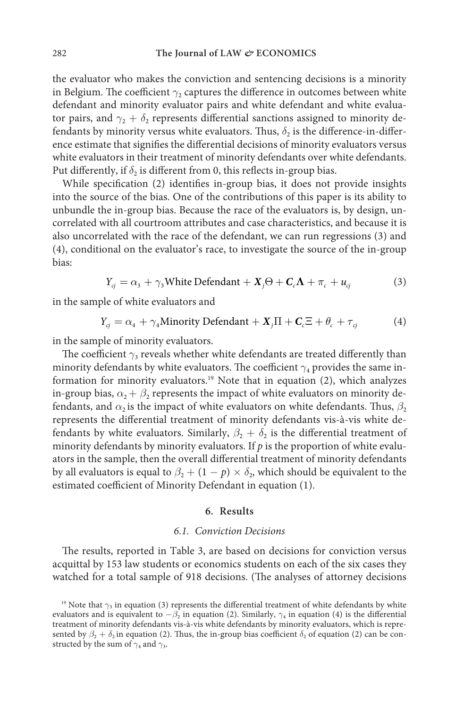the evaluator who makes the conviction and sentencing decisions is a minority in Belgium. The coefficient  $\gamma_2$  captures the difference in outcomes between white defendant and minority evaluator pairs and white defendant and white evaluator pairs, and  $\gamma$ <sup>2</sup> +  $\delta$ <sub>2</sub> represents differential sanctions assigned to minority defendants by minority versus white evaluators. Thus,  $\delta_2$  is the difference-in-difference estimate that signifies the differential decisions of minority evaluators versus white evaluators in their treatment of minority defendants over white defendants. Put differently, if  $\delta$ <sub>2</sub> is different from 0, this reflects in-group bias.

While specification (2) identifies in-group bias, it does not provide insights into the source of the bias. One of the contributions of this paper is its ability to unbundle the in-group bias. Because the race of the evaluators is, by design, uncorrelated with all courtroom attributes and case characteristics, and because it is also uncorrelated with the race of the defendant, we can run regressions (3) and (4), conditional on the evaluator's race, to investigate the source of the in-group bias:

$$
Y_{cj} = \alpha_3 + \gamma_3 \text{White Defendant} + X_j \Theta + C_c \Lambda + \pi_c + u_{cj} \tag{3}
$$

in the sample of white evaluators and

$$
Y_{cj} = \alpha_4 + \gamma_4 \text{Minority Defendant} + X_j \Pi + C_c \Xi + \theta_c + \tau_{cj}
$$
 (4)

in the sample of minority evaluators.

The coefficient  $\gamma_3$  reveals whether white defendants are treated differently than minority defendants by white evaluators. The coefficient  $\gamma_4$  provides the same information for minority evaluators.19 Note that in equation (2), which analyzes in-group bias,  $\alpha_2 + \beta_2$  represents the impact of white evaluators on minority defendants, and  $\alpha$ , is the impact of white evaluators on white defendants. Thus,  $\beta$ , represents the differential treatment of minority defendants vis-à-vis white defendants by white evaluators. Similarly,  $\beta_2 + \delta_2$  is the differential treatment of minority defendants by minority evaluators. If  $p$  is the proportion of white evaluators in the sample, then the overall differential treatment of minority defendants by all evaluators is equal to  $\beta_2 + (1 - p) \times \delta_2$ , which should be equivalent to the estimated coefficient of Minority Defendant in equation (1).

#### **6. Results**

## *6.1. Conviction Decisions*

The results, reported in Table 3, are based on decisions for conviction versus acquittal by 153 law students or economics students on each of the six cases they watched for a total sample of 918 decisions. (The analyses of attorney decisions

<sup>&</sup>lt;sup>19</sup> Note that  $\gamma_3$  in equation (3) represents the differential treatment of white defendants by white evaluators and is equivalent to  $-\beta_2$  in equation (2). Similarly,  $\gamma_4$  in equation (4) is the differential treatment of minority defendants vis-à-vis white defendants by minority evaluators, which is represented by  $\beta_2 + \delta_2$  in equation (2). Thus, the in-group bias coefficient  $\delta_2$  of equation (2) can be constructed by the sum of  $\gamma_4$  and  $\gamma_3$ .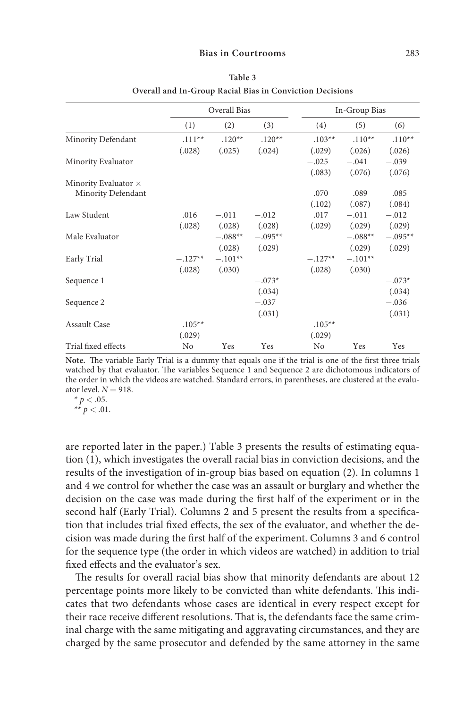|                             |           | Overall Bias |           |           | In-Group Bias |           |
|-----------------------------|-----------|--------------|-----------|-----------|---------------|-----------|
|                             | (1)       | (2)          | (3)       | (4)       | (5)           | (6)       |
| Minority Defendant          | $.111**$  | $.120**$     | $.120**$  | $.103**$  | $.110**$      | $.110**$  |
|                             | (.028)    | (.025)       | (.024)    | (.029)    | (.026)        | (.026)    |
| Minority Evaluator          |           |              |           | $-.025$   | $-.041$       | $-.039$   |
|                             |           |              |           | (.083)    | (.076)        | (.076)    |
| Minority Evaluator $\times$ |           |              |           |           |               |           |
| Minority Defendant          |           |              |           | .070      | .089          | .085      |
|                             |           |              |           | (.102)    | (.087)        | (.084)    |
| Law Student                 | .016      | $-.011$      | $-.012$   | .017      | $-.011$       | $-.012$   |
|                             | (.028)    | (.028)       | (.028)    | (.029)    | (.029)        | (.029)    |
| Male Evaluator              |           | $-.088**$    | $-.095**$ |           | $-.088**$     | $-.095**$ |
|                             |           | (.028)       | (.029)    |           | (.029)        | (.029)    |
| Early Trial                 | $-.127**$ | $-.101**$    |           | $-.127**$ | $-.101**$     |           |
|                             | (.028)    | (.030)       |           | (.028)    | (.030)        |           |
| Sequence 1                  |           |              | $-.073*$  |           |               | $-.073*$  |
|                             |           |              | (.034)    |           |               | (.034)    |
| Sequence 2                  |           |              | $-.037$   |           |               | $-.036$   |
|                             |           |              | (.031)    |           |               | (.031)    |
| <b>Assault Case</b>         | $-.105**$ |              |           | $-.105**$ |               |           |
|                             | (.029)    |              |           | (.029)    |               |           |
| Trial fixed effects         | No        | Yes          | Yes       | No        | Yes           | Yes       |

**Table 3 Overall and In-Group Racial Bias in Conviction Decisions**

**Note.** The variable Early Trial is a dummy that equals one if the trial is one of the first three trials watched by that evaluator. The variables Sequence 1 and Sequence 2 are dichotomous indicators of the order in which the videos are watched. Standard errors, in parentheses, are clustered at the evaluator level.  $N = 918$ .

 $* p < .05.$ \*\*  $p < .01$ .

are reported later in the paper.) Table 3 presents the results of estimating equation (1), which investigates the overall racial bias in conviction decisions, and the results of the investigation of in-group bias based on equation (2). In columns 1 and 4 we control for whether the case was an assault or burglary and whether the decision on the case was made during the first half of the experiment or in the second half (Early Trial). Columns 2 and 5 present the results from a specification that includes trial fixed effects, the sex of the evaluator, and whether the decision was made during the first half of the experiment. Columns 3 and 6 control for the sequence type (the order in which videos are watched) in addition to trial fixed effects and the evaluator's sex.

The results for overall racial bias show that minority defendants are about 12 percentage points more likely to be convicted than white defendants. This indicates that two defendants whose cases are identical in every respect except for their race receive different resolutions. That is, the defendants face the same criminal charge with the same mitigating and aggravating circumstances, and they are charged by the same prosecutor and defended by the same attorney in the same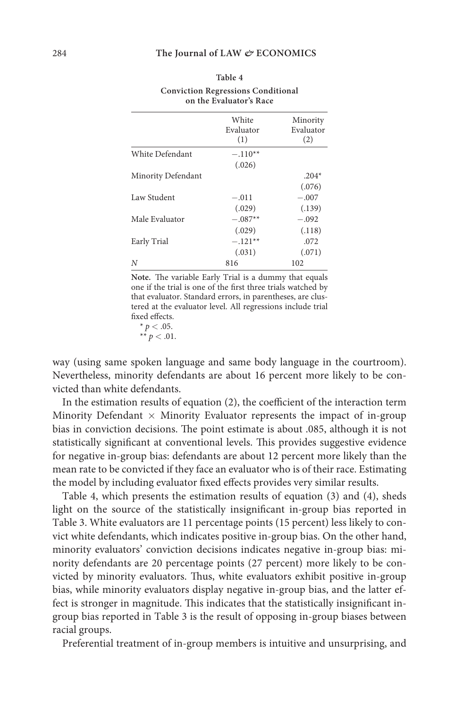|                    | White<br>Evaluator<br>(1) | Minority<br>Evaluator<br>(2) |
|--------------------|---------------------------|------------------------------|
| White Defendant    | $-.110**$                 |                              |
|                    | (.026)                    |                              |
| Minority Defendant |                           | $.204*$                      |
|                    |                           | (.076)                       |
| Law Student        | $-.011$                   | $-.007$                      |
|                    | (.029)                    | (.139)                       |
| Male Evaluator     | $-.087**$                 | $-.092$                      |
|                    | (.029)                    | (.118)                       |
| Early Trial        | $-.121**$                 | .072                         |
|                    | (.031)                    | (.071)                       |
| Ν                  | 816                       | 102                          |

#### **Table 4 Conviction Regressions Conditional on the Evaluator's Race**

**Note.** The variable Early Trial is a dummy that equals one if the trial is one of the first three trials watched by that evaluator. Standard errors, in parentheses, are clustered at the evaluator level. All regressions include trial fixed effects.

 $* p < .05.$  $** p < .01$ .

way (using same spoken language and same body language in the courtroom). Nevertheless, minority defendants are about 16 percent more likely to be convicted than white defendants.

In the estimation results of equation (2), the coefficient of the interaction term Minority Defendant  $\times$  Minority Evaluator represents the impact of in-group bias in conviction decisions. The point estimate is about .085, although it is not statistically significant at conventional levels. This provides suggestive evidence for negative in-group bias: defendants are about 12 percent more likely than the mean rate to be convicted if they face an evaluator who is of their race. Estimating the model by including evaluator fixed effects provides very similar results.

Table 4, which presents the estimation results of equation (3) and (4), sheds light on the source of the statistically insignificant in-group bias reported in Table 3. White evaluators are 11 percentage points (15 percent) less likely to convict white defendants, which indicates positive in-group bias. On the other hand, minority evaluators' conviction decisions indicates negative in-group bias: minority defendants are 20 percentage points (27 percent) more likely to be convicted by minority evaluators. Thus, white evaluators exhibit positive in-group bias, while minority evaluators display negative in-group bias, and the latter effect is stronger in magnitude. This indicates that the statistically insignificant ingroup bias reported in Table 3 is the result of opposing in-group biases between racial groups.

Preferential treatment of in-group members is intuitive and unsurprising, and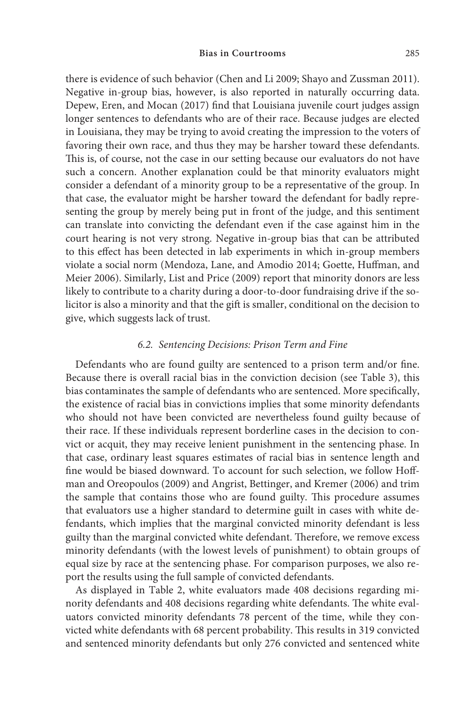there is evidence of such behavior (Chen and Li 2009; Shayo and Zussman 2011). Negative in-group bias, however, is also reported in naturally occurring data. Depew, Eren, and Mocan (2017) find that Louisiana juvenile court judges assign longer sentences to defendants who are of their race. Because judges are elected in Louisiana, they may be trying to avoid creating the impression to the voters of favoring their own race, and thus they may be harsher toward these defendants. This is, of course, not the case in our setting because our evaluators do not have such a concern. Another explanation could be that minority evaluators might consider a defendant of a minority group to be a representative of the group. In that case, the evaluator might be harsher toward the defendant for badly representing the group by merely being put in front of the judge, and this sentiment can translate into convicting the defendant even if the case against him in the court hearing is not very strong. Negative in-group bias that can be attributed to this effect has been detected in lab experiments in which in-group members violate a social norm (Mendoza, Lane, and Amodio 2014; Goette, Huffman, and Meier 2006). Similarly, List and Price (2009) report that minority donors are less likely to contribute to a charity during a door-to-door fundraising drive if the solicitor is also a minority and that the gift is smaller, conditional on the decision to give, which suggests lack of trust.

#### *6.2. Sentencing Decisions: Prison Term and Fine*

Defendants who are found guilty are sentenced to a prison term and/or fine. Because there is overall racial bias in the conviction decision (see Table 3), this bias contaminates the sample of defendants who are sentenced. More specifically, the existence of racial bias in convictions implies that some minority defendants who should not have been convicted are nevertheless found guilty because of their race. If these individuals represent borderline cases in the decision to convict or acquit, they may receive lenient punishment in the sentencing phase. In that case, ordinary least squares estimates of racial bias in sentence length and fine would be biased downward. To account for such selection, we follow Hoffman and Oreopoulos (2009) and Angrist, Bettinger, and Kremer (2006) and trim the sample that contains those who are found guilty. This procedure assumes that evaluators use a higher standard to determine guilt in cases with white defendants, which implies that the marginal convicted minority defendant is less guilty than the marginal convicted white defendant. Therefore, we remove excess minority defendants (with the lowest levels of punishment) to obtain groups of equal size by race at the sentencing phase. For comparison purposes, we also report the results using the full sample of convicted defendants.

As displayed in Table 2, white evaluators made 408 decisions regarding minority defendants and 408 decisions regarding white defendants. The white evaluators convicted minority defendants 78 percent of the time, while they convicted white defendants with 68 percent probability. This results in 319 convicted and sentenced minority defendants but only 276 convicted and sentenced white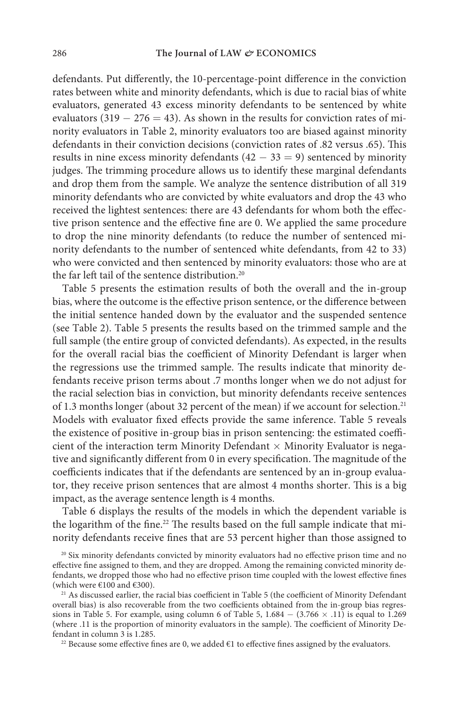defendants. Put differently, the 10-percentage-point difference in the conviction rates between white and minority defendants, which is due to racial bias of white evaluators, generated 43 excess minority defendants to be sentenced by white evaluators (319  $-276 = 43$ ). As shown in the results for conviction rates of minority evaluators in Table 2, minority evaluators too are biased against minority defendants in their conviction decisions (conviction rates of .82 versus .65). This results in nine excess minority defendants  $(42 - 33 = 9)$  sentenced by minority judges. The trimming procedure allows us to identify these marginal defendants and drop them from the sample. We analyze the sentence distribution of all 319 minority defendants who are convicted by white evaluators and drop the 43 who received the lightest sentences: there are 43 defendants for whom both the effective prison sentence and the effective fine are 0. We applied the same procedure to drop the nine minority defendants (to reduce the number of sentenced minority defendants to the number of sentenced white defendants, from 42 to 33) who were convicted and then sentenced by minority evaluators: those who are at the far left tail of the sentence distribution.<sup>20</sup>

Table 5 presents the estimation results of both the overall and the in-group bias, where the outcome is the effective prison sentence, or the difference between the initial sentence handed down by the evaluator and the suspended sentence (see Table 2). Table 5 presents the results based on the trimmed sample and the full sample (the entire group of convicted defendants). As expected, in the results for the overall racial bias the coefficient of Minority Defendant is larger when the regressions use the trimmed sample. The results indicate that minority defendants receive prison terms about .7 months longer when we do not adjust for the racial selection bias in conviction, but minority defendants receive sentences of 1.3 months longer (about 32 percent of the mean) if we account for selection.<sup>21</sup> Models with evaluator fixed effects provide the same inference. Table 5 reveals the existence of positive in-group bias in prison sentencing: the estimated coefficient of the interaction term Minority Defendant  $\times$  Minority Evaluator is negative and significantly different from 0 in every specification. The magnitude of the coefficients indicates that if the defendants are sentenced by an in-group evaluator, they receive prison sentences that are almost 4 months shorter. This is a big impact, as the average sentence length is 4 months.

Table 6 displays the results of the models in which the dependent variable is the logarithm of the fine.<sup>22</sup> The results based on the full sample indicate that minority defendants receive fines that are 53 percent higher than those assigned to

<sup>22</sup> Because some effective fines are 0, we added  $\epsilon$ 1 to effective fines assigned by the evaluators.

<sup>&</sup>lt;sup>20</sup> Six minority defendants convicted by minority evaluators had no effective prison time and no effective fine assigned to them, and they are dropped. Among the remaining convicted minority defendants, we dropped those who had no effective prison time coupled with the lowest effective fines (which were  $€100$  and  $€300$ ).

<sup>&</sup>lt;sup>21</sup> As discussed earlier, the racial bias coefficient in Table 5 (the coefficient of Minority Defendant overall bias) is also recoverable from the two coefficients obtained from the in-group bias regressions in Table 5. For example, using column 6 of Table 5,  $1.684 - (3.766 \times .11)$  is equal to 1.269 (where .11 is the proportion of minority evaluators in the sample). The coefficient of Minority Defendant in column 3 is 1.285.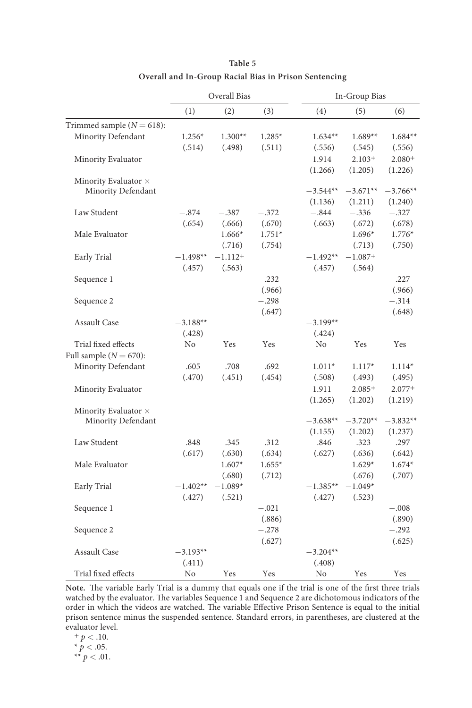|                              |            | Overall Bias |            |            | In-Group Bias |            |
|------------------------------|------------|--------------|------------|------------|---------------|------------|
|                              | (1)        | (2)          | (3)        | (4)        | (5)           | (6)        |
| Trimmed sample $(N = 618)$ : |            |              |            |            |               |            |
| Minority Defendant           | $1.256*$   | $1.300**$    | $1.285*$   | $1.634**$  | $1.689**$     | $1.684**$  |
|                              | (.514)     | (.498)       | (.511)     | (.556)     | (.545)        | (.556)     |
| Minority Evaluator           |            |              |            | 1.914      | $2.103+$      | $2.080+$   |
|                              |            |              |            | (1.266)    | (1.205)       | (1.226)    |
| Minority Evaluator $\times$  |            |              |            |            |               |            |
| Minority Defendant           |            |              |            | $-3.544**$ | $-3.671**$    | $-3.766**$ |
|                              |            |              |            | (1.136)    | (1.211)       | (1.240)    |
| Law Student                  | $-.874$    | $-.387$      | $-.372$    | $-.844$    | $-.336$       | $-.327$    |
|                              | (.654)     | (.666)       | (.670)     | (.663)     | (.672)        | (.678)     |
| Male Evaluator               |            | $1.666*$     | $1.751*$   |            | $1.696*$      | $1.776*$   |
|                              |            | (.716)       | (.754)     |            | (.713)        | (.750)     |
| Early Trial                  | $-1.498**$ | $-1.112+$    |            | $-1.492**$ | $-1.087+$     |            |
|                              | (.457)     | (.563)       |            | (.457)     | (.564)        |            |
| Sequence 1                   |            |              | .232       |            |               | .227       |
|                              |            |              | (.966)     |            |               | (.966)     |
| Sequence 2                   |            |              | $-.298$    |            |               | $-.314$    |
|                              |            |              | (.647)     |            |               | (.648)     |
| <b>Assault Case</b>          | $-3.188**$ |              |            | $-3.199**$ |               |            |
|                              | (.428)     |              |            | (.424)     |               |            |
| Trial fixed effects          | No         | <b>Yes</b>   | <b>Yes</b> | No         | <b>Yes</b>    | Yes        |
| Full sample $(N = 670)$ :    |            |              |            |            |               |            |
| Minority Defendant           | .605       | .708         | .692       | $1.011*$   | $1.117*$      | $1.114*$   |
|                              | (.470)     | (.451)       | (.454)     | (.508)     | (.493)        | (.495)     |
| Minority Evaluator           |            |              |            | 1.911      | $2.085+$      | $2.077+$   |
|                              |            |              |            | (1.265)    | (1.202)       | (1.219)    |
| Minority Evaluator $\times$  |            |              |            |            |               |            |
| Minority Defendant           |            |              |            | $-3.638**$ | $-3.720**$    | $-3.832**$ |
|                              |            |              |            | (1.155)    | (1.202)       | (1.237)    |
| Law Student                  | $-.848$    | $-.345$      | $-.312$    | $-.846$    | $-.323$       | $-.297$    |
|                              | (.617)     | (.630)       | (.634)     | (.627)     | (.636)        | (.642)     |
| Male Evaluator               |            | $1.607*$     | $1.655*$   |            | $1.629*$      | $1.674*$   |
|                              |            | (.680)       | (.712)     |            | (.676)        | (.707)     |
| Early Trial                  | $-1.402**$ | $-1.089*$    |            | $-1.385**$ | $-1.049*$     |            |
|                              | (.427)     | (.521)       |            | (.427)     | (.523)        |            |
| Sequence 1                   |            |              | $-.021$    |            |               | $-.008$    |
|                              |            |              | (.886)     |            |               | (.890)     |
| Sequence 2                   |            |              | $-.278$    |            |               | $-.292$    |
|                              |            |              | (.627)     |            |               | (.625)     |
| <b>Assault Case</b>          | $-3.193**$ |              |            | $-3.204**$ |               |            |
|                              | (.411)     |              |            | (.408)     |               |            |
| Trial fixed effects          | No         | Yes          | Yes        | No         | Yes           | Yes        |

**Table 5 Overall and In-Group Racial Bias in Prison Sentencing**

**Note.** The variable Early Trial is a dummy that equals one if the trial is one of the first three trials watched by the evaluator. The variables Sequence 1 and Sequence 2 are dichotomous indicators of the order in which the videos are watched. The variable Effective Prison Sentence is equal to the initial prison sentence minus the suspended sentence. Standard errors, in parentheses, are clustered at the evaluator level.

**<sup>+</sup>** *p* < .10.  $*$   $p < .05$ .  $** p < .01$ .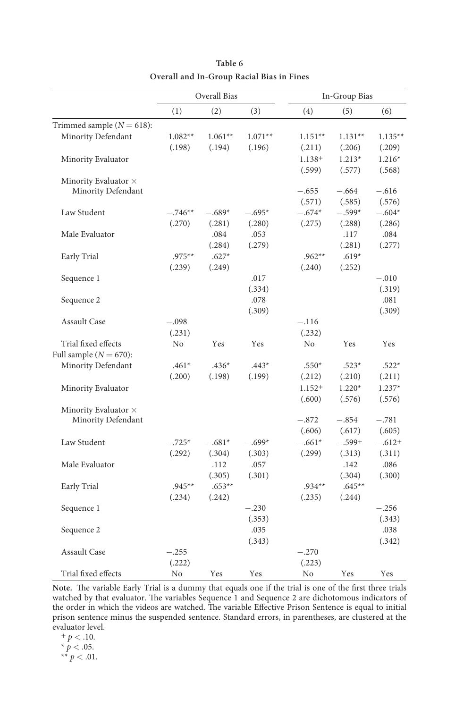|                              |           | Overall Bias |           |                | In-Group Bias |           |
|------------------------------|-----------|--------------|-----------|----------------|---------------|-----------|
|                              | (1)       | (2)          | (3)       | (4)            | (5)           | (6)       |
| Trimmed sample $(N = 618)$ : |           |              |           |                |               |           |
| Minority Defendant           | $1.082**$ | $1.061**$    | $1.071**$ | $1.151**$      | $1.131**$     | $1.135**$ |
|                              | (.198)    | (.194)       | (.196)    | (.211)         | (.206)        | (.209)    |
| Minority Evaluator           |           |              |           | $1.138+$       | $1.213*$      | $1.216*$  |
|                              |           |              |           | (.599)         | (.577)        | (.568)    |
| Minority Evaluator $\times$  |           |              |           |                |               |           |
| Minority Defendant           |           |              |           | $-.655$        | $-.664$       | $-.616$   |
|                              |           |              |           | (.571)         | (.585)        | (.576)    |
| Law Student                  | $-.746**$ | $-.689*$     | $-.695*$  | $-.674*$       | $-.599*$      | $-.604*$  |
|                              | (.270)    | (.281)       | (.280)    | (.275)         | (.288)        | (.286)    |
| Male Evaluator               |           | .084         | .053      |                | .117          | .084      |
|                              |           | (.284)       | (.279)    |                | (.281)        | (.277)    |
| Early Trial                  | $.975**$  | $.627*$      |           | $.962**$       | $.619*$       |           |
|                              | (.239)    | (.249)       |           | (.240)         | (.252)        |           |
| Sequence 1                   |           |              | .017      |                |               | $-.010$   |
|                              |           |              | (.334)    |                |               | (.319)    |
| Sequence 2                   |           |              | .078      |                |               | .081      |
|                              |           |              | (.309)    |                |               | (.309)    |
| <b>Assault Case</b>          | $-.098$   |              |           | $-.116$        |               |           |
|                              | (.231)    |              |           | (.232)         |               |           |
| Trial fixed effects          | No        | Yes          | Yes       | N <sub>0</sub> | Yes           | Yes       |
| Full sample $(N = 670)$ :    |           |              |           |                |               |           |
| Minority Defendant           | $.461*$   | $.436*$      | $.443*$   | $.550*$        | $.523*$       | $.522*$   |
|                              | (.200)    | (.198)       | (.199)    | (.212)         | (.210)        | (.211)    |
| Minority Evaluator           |           |              |           | $1.152+$       | $1.220*$      | $1.237*$  |
|                              |           |              |           | (.600)         | (.576)        | (.576)    |
| Minority Evaluator $\times$  |           |              |           |                |               |           |
| Minority Defendant           |           |              |           | $-.872$        | $-.854$       | $-.781$   |
|                              |           |              |           | (.606)         | (.617)        | (.605)    |
| Law Student                  | $-.725*$  | $-.681*$     | $-.699*$  | $-.661*$       | $-.599+$      | $-.612+$  |
|                              | (.292)    | (.304)       | (.303)    | (.299)         | (.313)        | (.311)    |
| Male Evaluator               |           | .112         | .057      |                | .142          | .086      |
|                              |           | (.305)       | (.301)    |                | (.304)        | (.300)    |
| Early Trial                  | $.945**$  | $.653**$     |           | $.934**$       | $.645**$      |           |
|                              | (.234)    | (.242)       |           | (.235)         | (.244)        |           |
| Sequence 1                   |           |              | $-.230$   |                |               | $-.256$   |
|                              |           |              | (.353)    |                |               | (.343)    |
| Sequence 2                   |           |              |           |                |               |           |
|                              |           |              |           |                |               |           |
|                              |           |              | .035      |                |               | .038      |
| <b>Assault Case</b>          | $-.255$   |              | (.343)    | $-.270$        |               | (.342)    |
|                              | (.222)    |              |           | (.223)         |               |           |

**Table 6 Overall and In-Group Racial Bias in Fines** 

**Note.** The variable Early Trial is a dummy that equals one if the trial is one of the first three trials watched by that evaluator. The variables Sequence 1 and Sequence 2 are dichotomous indicators of the order in which the videos are watched. The variable Effective Prison Sentence is equal to initial prison sentence minus the suspended sentence. Standard errors, in parentheses, are clustered at the evaluator level.

**<sup>+</sup>** *p* < .10.

 $*$   $p < .05$ .  $** p < .01$ .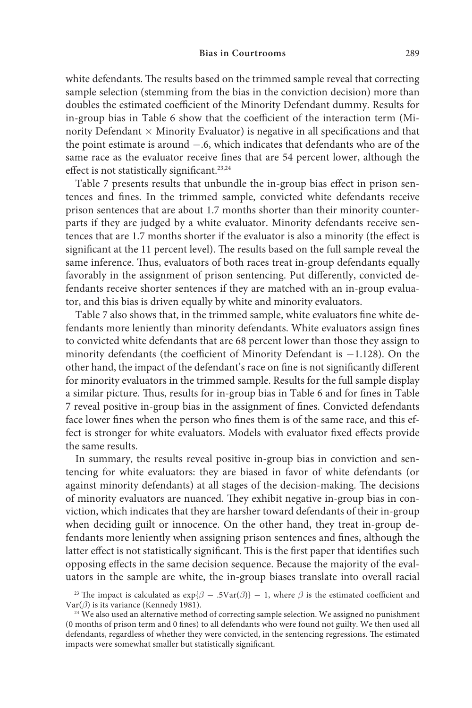white defendants. The results based on the trimmed sample reveal that correcting sample selection (stemming from the bias in the conviction decision) more than doubles the estimated coefficient of the Minority Defendant dummy. Results for in-group bias in Table 6 show that the coefficient of the interaction term (Minority Defendant  $\times$  Minority Evaluator) is negative in all specifications and that the point estimate is around −.6, which indicates that defendants who are of the same race as the evaluator receive fines that are 54 percent lower, although the effect is not statistically significant.<sup>23,24</sup>

Table 7 presents results that unbundle the in-group bias effect in prison sentences and fines. In the trimmed sample, convicted white defendants receive prison sentences that are about 1.7 months shorter than their minority counterparts if they are judged by a white evaluator. Minority defendants receive sentences that are 1.7 months shorter if the evaluator is also a minority (the effect is significant at the 11 percent level). The results based on the full sample reveal the same inference. Thus, evaluators of both races treat in-group defendants equally favorably in the assignment of prison sentencing. Put differently, convicted defendants receive shorter sentences if they are matched with an in-group evaluator, and this bias is driven equally by white and minority evaluators.

Table 7 also shows that, in the trimmed sample, white evaluators fine white defendants more leniently than minority defendants. White evaluators assign fines to convicted white defendants that are 68 percent lower than those they assign to minority defendants (the coefficient of Minority Defendant is −1.128). On the other hand, the impact of the defendant's race on fine is not significantly different for minority evaluators in the trimmed sample. Results for the full sample display a similar picture. Thus, results for in-group bias in Table 6 and for fines in Table 7 reveal positive in-group bias in the assignment of fines. Convicted defendants face lower fines when the person who fines them is of the same race, and this effect is stronger for white evaluators. Models with evaluator fixed effects provide the same results.

In summary, the results reveal positive in-group bias in conviction and sentencing for white evaluators: they are biased in favor of white defendants (or against minority defendants) at all stages of the decision-making. The decisions of minority evaluators are nuanced. They exhibit negative in-group bias in conviction, which indicates that they are harsher toward defendants of their in-group when deciding guilt or innocence. On the other hand, they treat in-group defendants more leniently when assigning prison sentences and fines, although the latter effect is not statistically significant. This is the first paper that identifies such opposing effects in the same decision sequence. Because the majority of the evaluators in the sample are white, the in-group biases translate into overall racial

<sup>23</sup> The impact is calculated as  $exp{\{\beta - .5Var(\beta)\}} - 1$ , where  $\beta$  is the estimated coefficient and Var( $\beta$ ) is its variance (Kennedy 1981).

<sup>&</sup>lt;sup>24</sup> We also used an alternative method of correcting sample selection. We assigned no punishment (0 months of prison term and 0 fines) to all defendants who were found not guilty. We then used all defendants, regardless of whether they were convicted, in the sentencing regressions. The estimated impacts were somewhat smaller but statistically significant.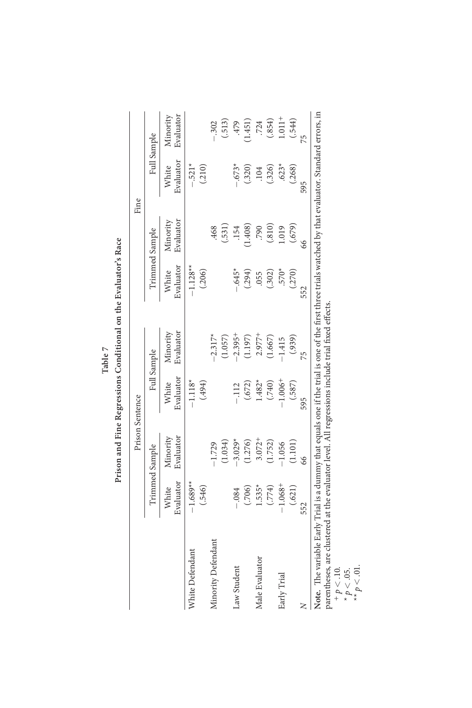| Full Sample<br>Evaluator<br>$-.521*$<br>$.623*$<br>$-673*$<br>(.326)<br>White<br>(.210)<br>(.268)<br>(.320)<br>.104<br>Evaluator<br>Minority<br>(.810)<br>(679)<br>1.408)<br>1.019<br>.468<br>(.531)<br>790<br>.154<br>Trimmed Sample<br>Evaluator<br>$-1.128**$<br>$-645*$<br>$.570*$<br>(.206)<br>(.302)<br>White<br>(.294)<br>(.270)<br>.055<br>Evaluator<br>Viinority<br>$-2.395+$<br>$-2.317*$<br>$2.977 +$<br>(1.197)<br>(1.667)<br>(.939)<br>(1.057)<br>$-1.415$<br>Full Sample<br>Evaluator<br>$1.006 +$<br>$-1.118*$<br>$1.482*$<br>(740)<br>(494)<br>(.587)<br>(.672)<br>White<br>$-112$<br>Minority<br>Evaluator<br>$3.072 +$<br>$-3.029*$<br>(1.276)<br>(1.752)<br>(1.034)<br>(1.101)<br>$-1.056$<br>$-1.729$<br>Trimmed Sample<br>Evaluator<br>$-1.689**$<br>1.068+<br>$1.535*$<br>(.546)<br>(774)<br>(.706)<br>(.621)<br>White<br>$-.084$<br>Minority Defendant<br>White Defendant<br>Male Evaluator<br>Law Student<br>Early Trial |   |     | Prison Sentence |     |    |     |    | Fine |                       |
|--------------------------------------------------------------------------------------------------------------------------------------------------------------------------------------------------------------------------------------------------------------------------------------------------------------------------------------------------------------------------------------------------------------------------------------------------------------------------------------------------------------------------------------------------------------------------------------------------------------------------------------------------------------------------------------------------------------------------------------------------------------------------------------------------------------------------------------------------------------------------------------------------------------------------------------------------|---|-----|-----------------|-----|----|-----|----|------|-----------------------|
|                                                                                                                                                                                                                                                                                                                                                                                                                                                                                                                                                                                                                                                                                                                                                                                                                                                                                                                                                  |   |     |                 |     |    |     |    |      |                       |
|                                                                                                                                                                                                                                                                                                                                                                                                                                                                                                                                                                                                                                                                                                                                                                                                                                                                                                                                                  |   |     |                 |     |    |     |    |      | Evaluator<br>Minority |
|                                                                                                                                                                                                                                                                                                                                                                                                                                                                                                                                                                                                                                                                                                                                                                                                                                                                                                                                                  |   |     |                 |     |    |     |    |      |                       |
|                                                                                                                                                                                                                                                                                                                                                                                                                                                                                                                                                                                                                                                                                                                                                                                                                                                                                                                                                  |   |     |                 |     |    |     |    |      | $-.302$               |
|                                                                                                                                                                                                                                                                                                                                                                                                                                                                                                                                                                                                                                                                                                                                                                                                                                                                                                                                                  |   |     |                 |     |    |     |    |      | (.513)                |
|                                                                                                                                                                                                                                                                                                                                                                                                                                                                                                                                                                                                                                                                                                                                                                                                                                                                                                                                                  |   |     |                 |     |    |     |    |      | .479                  |
|                                                                                                                                                                                                                                                                                                                                                                                                                                                                                                                                                                                                                                                                                                                                                                                                                                                                                                                                                  |   |     |                 |     |    |     |    |      | (1.451)               |
|                                                                                                                                                                                                                                                                                                                                                                                                                                                                                                                                                                                                                                                                                                                                                                                                                                                                                                                                                  |   |     |                 |     |    |     |    |      | .724                  |
|                                                                                                                                                                                                                                                                                                                                                                                                                                                                                                                                                                                                                                                                                                                                                                                                                                                                                                                                                  |   |     |                 |     |    |     |    |      | (.854)                |
|                                                                                                                                                                                                                                                                                                                                                                                                                                                                                                                                                                                                                                                                                                                                                                                                                                                                                                                                                  |   |     |                 |     |    |     |    |      | $1.011 +$             |
|                                                                                                                                                                                                                                                                                                                                                                                                                                                                                                                                                                                                                                                                                                                                                                                                                                                                                                                                                  |   |     |                 |     |    |     |    |      | (.544)                |
|                                                                                                                                                                                                                                                                                                                                                                                                                                                                                                                                                                                                                                                                                                                                                                                                                                                                                                                                                  | z | 552 | 66              | 595 | 75 | 552 | 66 | 595  | 51                    |

Prison and Fine Regressions Conditional on the Evaluator's Race **Prison and Fine Regressions Conditional on the Evaluator's Race Table 7**

parentheses, are clustered at the evaluator level. All regressions include trial fixed effects.

 $+p < 10.$ <br>
\*  $p < 0.5$ .<br>
\*\*  $p < 0.1$ .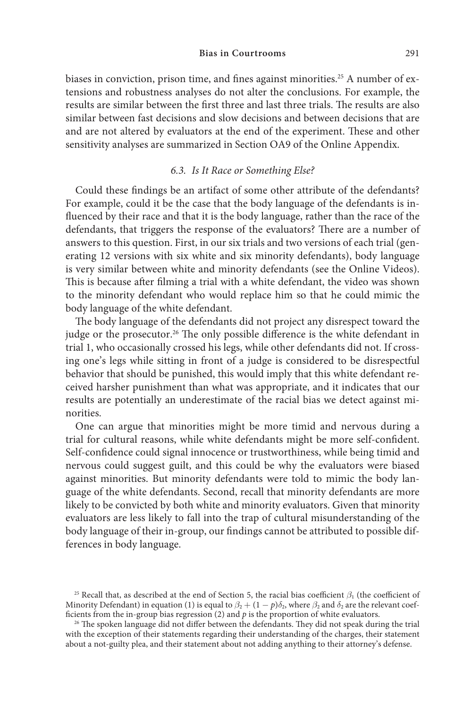biases in conviction, prison time, and fines against minorities.<sup>25</sup> A number of extensions and robustness analyses do not alter the conclusions. For example, the results are similar between the first three and last three trials. The results are also similar between fast decisions and slow decisions and between decisions that are and are not altered by evaluators at the end of the experiment. These and other sensitivity analyses are summarized in Section OA9 of the Online Appendix.

## *6.3. Is It Race or Something Else?*

Could these findings be an artifact of some other attribute of the defendants? For example, could it be the case that the body language of the defendants is influenced by their race and that it is the body language, rather than the race of the defendants, that triggers the response of the evaluators? There are a number of answers to this question. First, in our six trials and two versions of each trial (generating 12 versions with six white and six minority defendants), body language is very similar between white and minority defendants (see the Online Videos). This is because after filming a trial with a white defendant, the video was shown to the minority defendant who would replace him so that he could mimic the body language of the white defendant.

The body language of the defendants did not project any disrespect toward the judge or the prosecutor.<sup>26</sup> The only possible difference is the white defendant in trial 1, who occasionally crossed his legs, while other defendants did not. If crossing one's legs while sitting in front of a judge is considered to be disrespectful behavior that should be punished, this would imply that this white defendant received harsher punishment than what was appropriate, and it indicates that our results are potentially an underestimate of the racial bias we detect against minorities.

One can argue that minorities might be more timid and nervous during a trial for cultural reasons, while white defendants might be more self-confident. Self-confidence could signal innocence or trustworthiness, while being timid and nervous could suggest guilt, and this could be why the evaluators were biased against minorities. But minority defendants were told to mimic the body language of the white defendants. Second, recall that minority defendants are more likely to be convicted by both white and minority evaluators. Given that minority evaluators are less likely to fall into the trap of cultural misunderstanding of the body language of their in-group, our findings cannot be attributed to possible differences in body language.

<sup>&</sup>lt;sup>25</sup> Recall that, as described at the end of Section 5, the racial bias coefficient  $\beta_1$  (the coefficient of Minority Defendant) in equation (1) is equal to  $\beta_2 + (1 - p)\delta_2$ , where  $\beta_2$  and  $\delta_2$  are the relevant coefficients from the in-group bias regression (2) and *p* is the proportion of white evaluators.

<sup>&</sup>lt;sup>26</sup> The spoken language did not differ between the defendants. They did not speak during the trial with the exception of their statements regarding their understanding of the charges, their statement about a not-guilty plea, and their statement about not adding anything to their attorney's defense.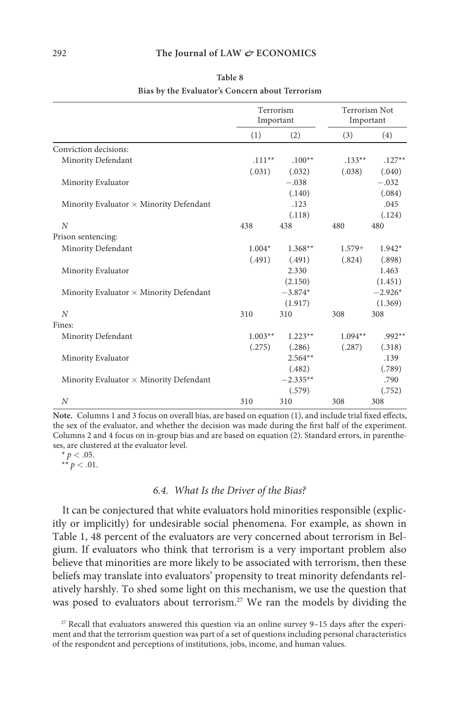|                                                | Terrorism<br>Important |            | <b>Terrorism Not</b><br>Important |           |
|------------------------------------------------|------------------------|------------|-----------------------------------|-----------|
|                                                | (1)                    | (2)        | (3)                               | (4)       |
| Conviction decisions:                          |                        |            |                                   |           |
| Minority Defendant                             | $.111**$               | $.100**$   | $.133**$                          | $.127**$  |
|                                                | (.031)                 | (.032)     | (.038)                            | (.040)    |
| Minority Evaluator                             |                        | $-.038$    |                                   | $-.032$   |
|                                                |                        | (.140)     |                                   | (.084)    |
| Minority Evaluator $\times$ Minority Defendant |                        | .123       |                                   | .045      |
|                                                |                        | (.118)     |                                   | (.124)    |
| $\overline{N}$                                 | 438                    | 438        | 480                               | 480       |
| Prison sentencing:                             |                        |            |                                   |           |
| Minority Defendant                             | $1.004*$               | $1.368**$  | $1.579+$                          | $1.942*$  |
|                                                | (.491)                 | (.491)     | (.824)                            | (.898)    |
| Minority Evaluator                             |                        | 2.330      |                                   | 1.463     |
|                                                |                        | (2.150)    |                                   | (1.451)   |
| Minority Evaluator $\times$ Minority Defendant |                        | $-3.874*$  |                                   | $-2.926*$ |
|                                                |                        | (1.917)    |                                   | (1.369)   |
| N                                              | 310                    | 310        | 308                               | 308       |
| Fines:                                         |                        |            |                                   |           |
| Minority Defendant                             | $1.003**$              | $1.223**$  | $1.094**$                         | $.992**$  |
|                                                | (.275)                 | (.286)     | (.287)                            | (.318)    |
| Minority Evaluator                             |                        | $2.564**$  |                                   | .139      |
|                                                |                        | (.482)     |                                   | (.789)    |
| Minority Evaluator $\times$ Minority Defendant |                        | $-2.335**$ |                                   | .790      |
|                                                |                        | (.579)     |                                   | (.752)    |
| N                                              | 310                    | 310        | 308                               | 308       |

| Table 8                                         |  |
|-------------------------------------------------|--|
| Bias by the Evaluator's Concern about Terrorism |  |

**Note.** Columns 1 and 3 focus on overall bias, are based on equation (1), and include trial fixed effects, the sex of the evaluator, and whether the decision was made during the first half of the experiment. Columns 2 and 4 focus on in-group bias and are based on equation (2). Standard errors, in parentheses, are clustered at the evaluator level.

 $* p < .05$ .  $** p < .01.$ 

#### *6.4. What Is the Driver of the Bias?*

It can be conjectured that white evaluators hold minorities responsible (explicitly or implicitly) for undesirable social phenomena. For example, as shown in Table 1, 48 percent of the evaluators are very concerned about terrorism in Belgium. If evaluators who think that terrorism is a very important problem also believe that minorities are more likely to be associated with terrorism, then these beliefs may translate into evaluators' propensity to treat minority defendants relatively harshly. To shed some light on this mechanism, we use the question that was posed to evaluators about terrorism.27 We ran the models by dividing the

<sup>27</sup> Recall that evaluators answered this question via an online survey 9–15 days after the experiment and that the terrorism question was part of a set of questions including personal characteristics of the respondent and perceptions of institutions, jobs, income, and human values.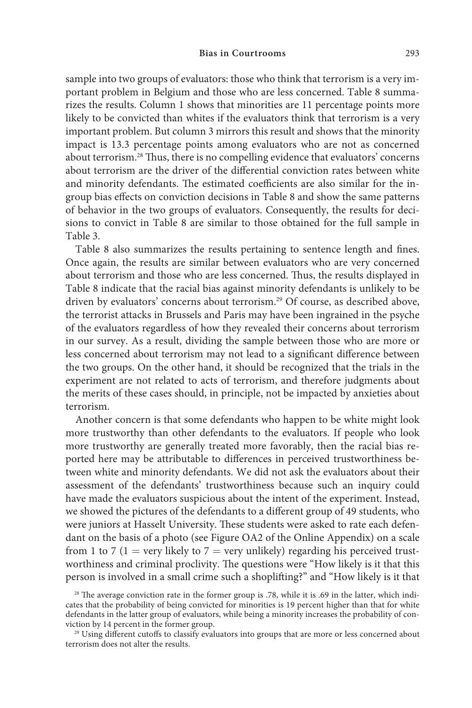sample into two groups of evaluators: those who think that terrorism is a very important problem in Belgium and those who are less concerned. Table 8 summarizes the results. Column 1 shows that minorities are 11 percentage points more likely to be convicted than whites if the evaluators think that terrorism is a very important problem. But column 3 mirrors this result and shows that the minority impact is 13.3 percentage points among evaluators who are not as concerned about terrorism.28 Thus, there is no compelling evidence that evaluators' concerns about terrorism are the driver of the differential conviction rates between white and minority defendants. The estimated coefficients are also similar for the ingroup bias effects on conviction decisions in Table 8 and show the same patterns of behavior in the two groups of evaluators. Consequently, the results for decisions to convict in Table 8 are similar to those obtained for the full sample in Table 3.

Table 8 also summarizes the results pertaining to sentence length and fines. Once again, the results are similar between evaluators who are very concerned about terrorism and those who are less concerned. Thus, the results displayed in Table 8 indicate that the racial bias against minority defendants is unlikely to be driven by evaluators' concerns about terrorism.<sup>29</sup> Of course, as described above, the terrorist attacks in Brussels and Paris may have been ingrained in the psyche of the evaluators regardless of how they revealed their concerns about terrorism in our survey. As a result, dividing the sample between those who are more or less concerned about terrorism may not lead to a significant difference between the two groups. On the other hand, it should be recognized that the trials in the experiment are not related to acts of terrorism, and therefore judgments about the merits of these cases should, in principle, not be impacted by anxieties about terrorism.

Another concern is that some defendants who happen to be white might look more trustworthy than other defendants to the evaluators. If people who look more trustworthy are generally treated more favorably, then the racial bias reported here may be attributable to differences in perceived trustworthiness between white and minority defendants. We did not ask the evaluators about their assessment of the defendants' trustworthiness because such an inquiry could have made the evaluators suspicious about the intent of the experiment. Instead, we showed the pictures of the defendants to a different group of 49 students, who were juniors at Hasselt University. These students were asked to rate each defendant on the basis of a photo (see Figure OA2 of the Online Appendix) on a scale from 1 to 7 (1 = very likely to 7 = very unlikely) regarding his perceived trustworthiness and criminal proclivity. The questions were "How likely is it that this person is involved in a small crime such a shoplifting?" and "How likely is it that

<sup>&</sup>lt;sup>28</sup> The average conviction rate in the former group is .78, while it is .69 in the latter, which indicates that the probability of being convicted for minorities is 19 percent higher than that for white defendants in the latter group of evaluators, while being a minority increases the probability of conviction by 14 percent in the former group.

<sup>&</sup>lt;sup>29</sup> Using different cutoffs to classify evaluators into groups that are more or less concerned about terrorism does not alter the results.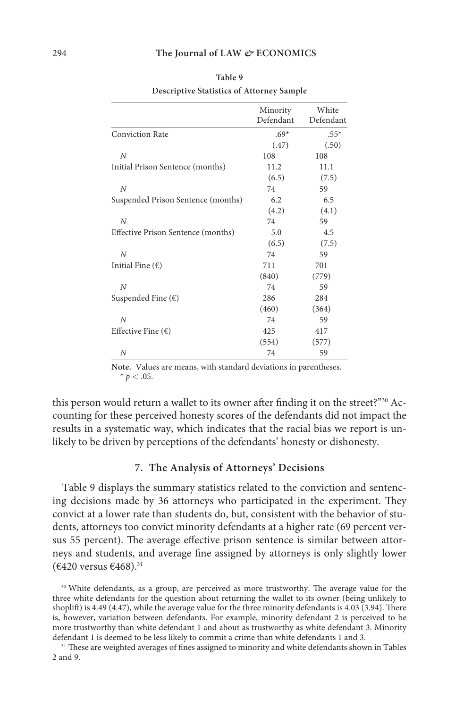|                                    | Minority<br>Defendant | White<br>Defendant |
|------------------------------------|-----------------------|--------------------|
| <b>Conviction Rate</b>             | $.69*$                | $.55*$             |
|                                    | (.47)                 | (.50)              |
| N                                  | 108                   | 108                |
| Initial Prison Sentence (months)   | 11.2                  | 11.1               |
|                                    | (6.5)                 | (7.5)              |
| N                                  | 74                    | 59                 |
| Suspended Prison Sentence (months) | 6.2                   | 6.5                |
|                                    | (4.2)                 | (4.1)              |
| N                                  | 74                    | 59                 |
| Effective Prison Sentence (months) | 5.0                   | 4.5                |
|                                    | (6.5)                 | (7.5)              |
| N                                  | 74                    | 59                 |
| Initial Fine $(\epsilon)$          | 711                   | 701                |
|                                    | (840)                 | (779)              |
| N                                  | 74                    | 59                 |
| Suspended Fine $(\epsilon)$        | 286                   | 284                |
|                                    | (460)                 | (364)              |
| N                                  | 74                    | 59                 |
| Effective Fine $(\epsilon)$        | 425                   | 417                |
|                                    | (554)                 | (577)              |
| N                                  | 74                    | 59                 |

**Table 9 Descriptive Statistics of Attorney Sample**

**Note.** Values are means, with standard deviations in parentheses.  $* p < .05.$ 

this person would return a wallet to its owner after finding it on the street?"<sup>30</sup> Accounting for these perceived honesty scores of the defendants did not impact the results in a systematic way, which indicates that the racial bias we report is unlikely to be driven by perceptions of the defendants' honesty or dishonesty.

## **7. The Analysis of Attorneys' Decisions**

Table 9 displays the summary statistics related to the conviction and sentencing decisions made by 36 attorneys who participated in the experiment. They convict at a lower rate than students do, but, consistent with the behavior of students, attorneys too convict minority defendants at a higher rate (69 percent versus 55 percent). The average effective prison sentence is similar between attorneys and students, and average fine assigned by attorneys is only slightly lower  $(6420 \text{ versus } 6468)^{31}$ 

<sup>&</sup>lt;sup>30</sup> White defendants, as a group, are perceived as more trustworthy. The average value for the three white defendants for the question about returning the wallet to its owner (being unlikely to shoplift) is 4.49 (4.47), while the average value for the three minority defendants is 4.03 (3.94). There is, however, variation between defendants. For example, minority defendant 2 is perceived to be more trustworthy than white defendant 1 and about as trustworthy as white defendant 3. Minority defendant 1 is deemed to be less likely to commit a crime than white defendants 1 and 3.

<sup>&</sup>lt;sup>31</sup> These are weighted averages of fines assigned to minority and white defendants shown in Tables 2 and 9.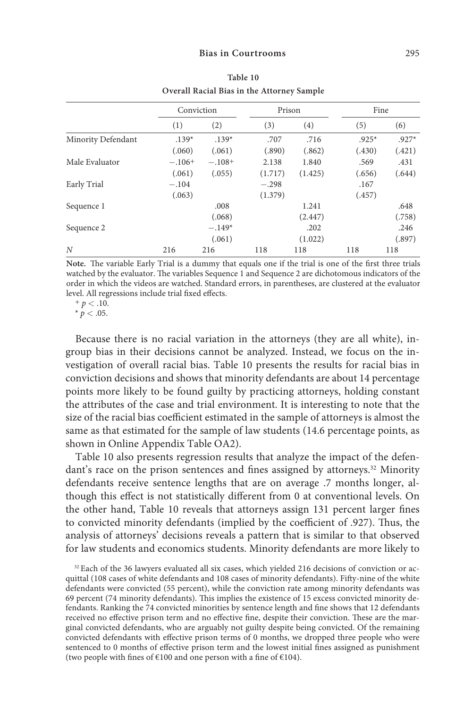|                    |          | Conviction |         | Prison  |         | Fine    |
|--------------------|----------|------------|---------|---------|---------|---------|
|                    | (1)      | (2)        | (3)     | (4)     | (5)     | (6)     |
| Minority Defendant | $.139*$  | $.139*$    | .707    | .716    | $.925*$ | $.927*$ |
|                    | (.060)   | (.061)     | (.890)  | (.862)  | (.430)  | (.421)  |
| Male Evaluator     | $-.106+$ | $-.108+$   | 2.138   | 1.840   | .569    | .431    |
|                    | (.061)   | (.055)     | (1.717) | (1.425) | (.656)  | (.644)  |
| Early Trial        | $-.104$  |            | $-.298$ |         | .167    |         |
|                    | (.063)   |            | (1.379) |         | (.457)  |         |
| Sequence 1         |          | .008       |         | 1.241   |         | .648    |
|                    |          | (.068)     |         | (2.447) |         | (.758)  |
| Sequence 2         |          | $-.149*$   |         | .202    |         | .246    |
|                    |          | (.061)     |         | (1.022) |         | (.897)  |
| N                  | 216      | 216        | 118     | 118     | 118     | 118     |

**Table 10 Overall Racial Bias in the Attorney Sample**

**Note.** The variable Early Trial is a dummy that equals one if the trial is one of the first three trials watched by the evaluator. The variables Sequence 1 and Sequence 2 are dichotomous indicators of the order in which the videos are watched. Standard errors, in parentheses, are clustered at the evaluator level. All regressions include trial fixed effects.

 $+ p < .10.$ 

 $* p < .05.$ 

Because there is no racial variation in the attorneys (they are all white), ingroup bias in their decisions cannot be analyzed. Instead, we focus on the investigation of overall racial bias. Table 10 presents the results for racial bias in conviction decisions and shows that minority defendants are about 14 percentage points more likely to be found guilty by practicing attorneys, holding constant the attributes of the case and trial environment. It is interesting to note that the size of the racial bias coefficient estimated in the sample of attorneys is almost the same as that estimated for the sample of law students (14.6 percentage points, as shown in Online Appendix Table OA2).

Table 10 also presents regression results that analyze the impact of the defendant's race on the prison sentences and fines assigned by attorneys.<sup>32</sup> Minority defendants receive sentence lengths that are on average .7 months longer, although this effect is not statistically different from 0 at conventional levels. On the other hand, Table 10 reveals that attorneys assign 131 percent larger fines to convicted minority defendants (implied by the coefficient of .927). Thus, the analysis of attorneys' decisions reveals a pattern that is similar to that observed for law students and economics students. Minority defendants are more likely to

<sup>32</sup> Each of the 36 lawyers evaluated all six cases, which yielded 216 decisions of conviction or acquittal (108 cases of white defendants and 108 cases of minority defendants). Fifty-nine of the white defendants were convicted (55 percent), while the conviction rate among minority defendants was 69 percent (74 minority defendants). This implies the existence of 15 excess convicted minority defendants. Ranking the 74 convicted minorities by sentence length and fine shows that 12 defendants received no effective prison term and no effective fine, despite their conviction. These are the marginal convicted defendants, who are arguably not guilty despite being convicted. Of the remaining convicted defendants with effective prison terms of 0 months, we dropped three people who were sentenced to 0 months of effective prison term and the lowest initial fines assigned as punishment (two people with fines of  $€100$  and one person with a fine of  $€104$ ).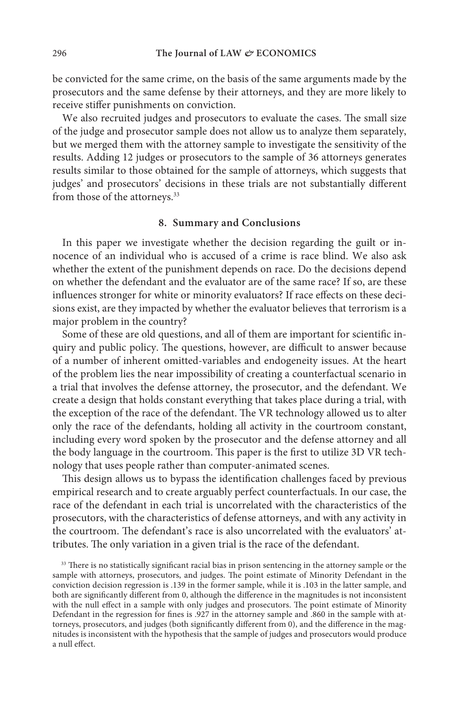be convicted for the same crime, on the basis of the same arguments made by the prosecutors and the same defense by their attorneys, and they are more likely to receive stiffer punishments on conviction.

We also recruited judges and prosecutors to evaluate the cases. The small size of the judge and prosecutor sample does not allow us to analyze them separately, but we merged them with the attorney sample to investigate the sensitivity of the results. Adding 12 judges or prosecutors to the sample of 36 attorneys generates results similar to those obtained for the sample of attorneys, which suggests that judges' and prosecutors' decisions in these trials are not substantially different from those of the attorneys.<sup>33</sup>

## **8. Summary and Conclusions**

In this paper we investigate whether the decision regarding the guilt or innocence of an individual who is accused of a crime is race blind. We also ask whether the extent of the punishment depends on race. Do the decisions depend on whether the defendant and the evaluator are of the same race? If so, are these influences stronger for white or minority evaluators? If race effects on these decisions exist, are they impacted by whether the evaluator believes that terrorism is a major problem in the country?

Some of these are old questions, and all of them are important for scientific inquiry and public policy. The questions, however, are difficult to answer because of a number of inherent omitted-variables and endogeneity issues. At the heart of the problem lies the near impossibility of creating a counterfactual scenario in a trial that involves the defense attorney, the prosecutor, and the defendant. We create a design that holds constant everything that takes place during a trial, with the exception of the race of the defendant. The VR technology allowed us to alter only the race of the defendants, holding all activity in the courtroom constant, including every word spoken by the prosecutor and the defense attorney and all the body language in the courtroom. This paper is the first to utilize 3D VR technology that uses people rather than computer-animated scenes.

This design allows us to bypass the identification challenges faced by previous empirical research and to create arguably perfect counterfactuals. In our case, the race of the defendant in each trial is uncorrelated with the characteristics of the prosecutors, with the characteristics of defense attorneys, and with any activity in the courtroom. The defendant's race is also uncorrelated with the evaluators' attributes. The only variation in a given trial is the race of the defendant.

<sup>33</sup> There is no statistically significant racial bias in prison sentencing in the attorney sample or the sample with attorneys, prosecutors, and judges. The point estimate of Minority Defendant in the conviction decision regression is .139 in the former sample, while it is .103 in the latter sample, and both are significantly different from 0, although the difference in the magnitudes is not inconsistent with the null effect in a sample with only judges and prosecutors. The point estimate of Minority Defendant in the regression for fines is .927 in the attorney sample and .860 in the sample with attorneys, prosecutors, and judges (both significantly different from 0), and the difference in the magnitudes is inconsistent with the hypothesis that the sample of judges and prosecutors would produce a null effect.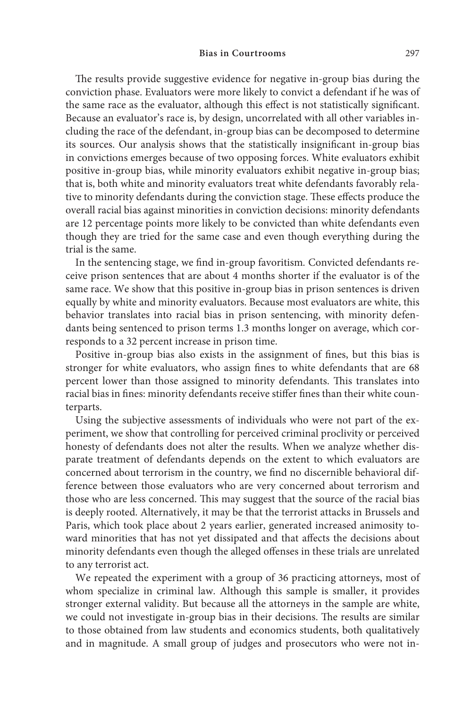The results provide suggestive evidence for negative in-group bias during the conviction phase. Evaluators were more likely to convict a defendant if he was of the same race as the evaluator, although this effect is not statistically significant. Because an evaluator's race is, by design, uncorrelated with all other variables including the race of the defendant, in-group bias can be decomposed to determine its sources. Our analysis shows that the statistically insignificant in-group bias in convictions emerges because of two opposing forces. White evaluators exhibit positive in-group bias, while minority evaluators exhibit negative in-group bias; that is, both white and minority evaluators treat white defendants favorably relative to minority defendants during the conviction stage. These effects produce the overall racial bias against minorities in conviction decisions: minority defendants are 12 percentage points more likely to be convicted than white defendants even though they are tried for the same case and even though everything during the trial is the same.

In the sentencing stage, we find in-group favoritism*.* Convicted defendants receive prison sentences that are about 4 months shorter if the evaluator is of the same race. We show that this positive in-group bias in prison sentences is driven equally by white and minority evaluators. Because most evaluators are white, this behavior translates into racial bias in prison sentencing, with minority defendants being sentenced to prison terms 1.3 months longer on average, which corresponds to a 32 percent increase in prison time.

Positive in-group bias also exists in the assignment of fines, but this bias is stronger for white evaluators, who assign fines to white defendants that are 68 percent lower than those assigned to minority defendants. This translates into racial bias in fines: minority defendants receive stiffer fines than their white counterparts.

Using the subjective assessments of individuals who were not part of the experiment, we show that controlling for perceived criminal proclivity or perceived honesty of defendants does not alter the results. When we analyze whether disparate treatment of defendants depends on the extent to which evaluators are concerned about terrorism in the country, we find no discernible behavioral difference between those evaluators who are very concerned about terrorism and those who are less concerned. This may suggest that the source of the racial bias is deeply rooted. Alternatively, it may be that the terrorist attacks in Brussels and Paris, which took place about 2 years earlier, generated increased animosity toward minorities that has not yet dissipated and that affects the decisions about minority defendants even though the alleged offenses in these trials are unrelated to any terrorist act.

We repeated the experiment with a group of 36 practicing attorneys, most of whom specialize in criminal law. Although this sample is smaller, it provides stronger external validity. But because all the attorneys in the sample are white, we could not investigate in-group bias in their decisions. The results are similar to those obtained from law students and economics students, both qualitatively and in magnitude. A small group of judges and prosecutors who were not in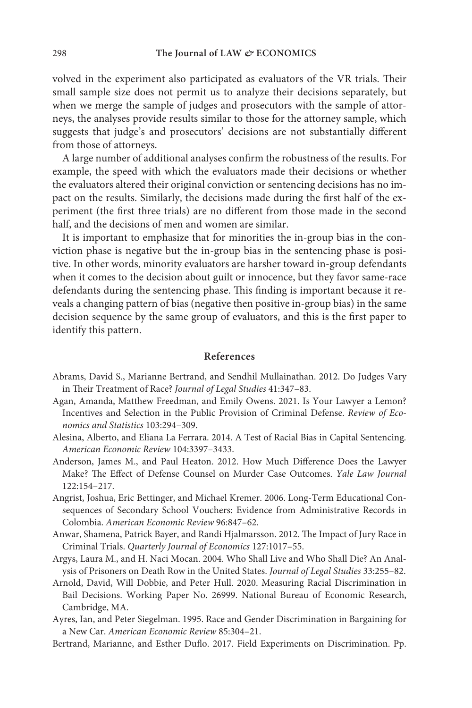volved in the experiment also participated as evaluators of the VR trials. Their small sample size does not permit us to analyze their decisions separately, but when we merge the sample of judges and prosecutors with the sample of attorneys, the analyses provide results similar to those for the attorney sample, which suggests that judge's and prosecutors' decisions are not substantially different from those of attorneys.

A large number of additional analyses confirm the robustness of the results. For example, the speed with which the evaluators made their decisions or whether the evaluators altered their original conviction or sentencing decisions has no impact on the results. Similarly, the decisions made during the first half of the experiment (the first three trials) are no different from those made in the second half, and the decisions of men and women are similar.

It is important to emphasize that for minorities the in-group bias in the conviction phase is negative but the in-group bias in the sentencing phase is positive. In other words, minority evaluators are harsher toward in-group defendants when it comes to the decision about guilt or innocence, but they favor same-race defendants during the sentencing phase. This finding is important because it reveals a changing pattern of bias (negative then positive in-group bias) in the same decision sequence by the same group of evaluators, and this is the first paper to identify this pattern.

#### **References**

- Abrams, David S., Marianne Bertrand, and Sendhil Mullainathan. 2012. Do Judges Vary in Their Treatment of Race? *Journal of Legal Studies* 41:347–83.
- Agan, Amanda, Matthew Freedman, and Emily Owens. 2021. Is Your Lawyer a Lemon? Incentives and Selection in the Public Provision of Criminal Defense. *Review of Economics and Statistics* 103:294–309.
- Alesina, Alberto, and Eliana La Ferrara. 2014. A Test of Racial Bias in Capital Sentencing*. American Economic Review* 104:3397–3433.
- Anderson, James M., and Paul Heaton. 2012. How Much Difference Does the Lawyer Make? The Effect of Defense Counsel on Murder Case Outcomes. *Yale Law Journal* 122:154–217.
- Angrist, Joshua, Eric Bettinger, and Michael Kremer. 2006. Long-Term Educational Consequences of Secondary School Vouchers: Evidence from Administrative Records in Colombia. *American Economic Review* 96:847–62.
- Anwar, Shamena, Patrick Bayer, and Randi Hjalmarsson. 2012. The Impact of Jury Race in Criminal Trials. *Quarterly Journal of Economics* 127:1017–55.
- Argys, Laura M., and H. Naci Mocan. 2004. Who Shall Live and Who Shall Die? An Analysis of Prisoners on Death Row in the United States. *Journal of Legal Studies* 33:255–82.
- Arnold, David, Will Dobbie, and Peter Hull. 2020. Measuring Racial Discrimination in Bail Decisions. Working Paper No. 26999. National Bureau of Economic Research, Cambridge, MA.
- Ayres, Ian, and Peter Siegelman. 1995. Race and Gender Discrimination in Bargaining for a New Car. *American Economic Review* 85:304–21.
- Bertrand, Marianne, and Esther Duflo. 2017. Field Experiments on Discrimination. Pp.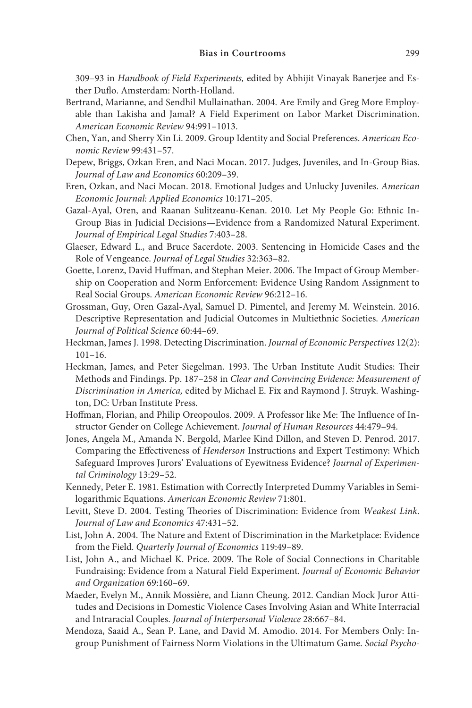309–93 in *Handbook of Field Experiments,* edited by Abhijit Vinayak Banerjee and Esther Duflo. Amsterdam: North-Holland.

- Bertrand, Marianne, and Sendhil Mullainathan. 2004. Are Emily and Greg More Employable than Lakisha and Jamal? A Field Experiment on Labor Market Discrimination. *American Economic Review* 94:991–1013.
- Chen, Yan, and Sherry Xin Li. 2009. Group Identity and Social Preferences. *American Economic Review* 99:431–57.
- Depew, Briggs, Ozkan Eren, and Naci Mocan. 2017. Judges, Juveniles, and In-Group Bias. *Journal of Law and Economics* 60:209–39.
- Eren, Ozkan, and Naci Mocan. 2018. Emotional Judges and Unlucky Juveniles. *American Economic Journal: Applied Economics* 10:171–205.
- Gazal‐Ayal, Oren, and Raanan Sulitzeanu‐Kenan. 2010. Let My People Go: Ethnic In‐ Group Bias in Judicial Decisions—Evidence from a Randomized Natural Experiment. *Journal of Empirical Legal Studies* 7:403–28.
- Glaeser, Edward L., and Bruce Sacerdote. 2003. Sentencing in Homicide Cases and the Role of Vengeance. *Journal of Legal Studies* 32:363–82.
- Goette, Lorenz, David Huffman, and Stephan Meier. 2006. The Impact of Group Membership on Cooperation and Norm Enforcement: Evidence Using Random Assignment to Real Social Groups. *American Economic Review* 96:212–16.
- Grossman, Guy, Oren Gazal-Ayal, Samuel D. Pimentel, and Jeremy M. Weinstein. 2016. Descriptive Representation and Judicial Outcomes in Multiethnic Societies. *American Journal of Political Science* 60:44–69.
- Heckman, James J. 1998. Detecting Discrimination. *Journal of Economic Perspectives* 12(2): 101–16.
- Heckman, James, and Peter Siegelman. 1993. The Urban Institute Audit Studies: Their Methods and Findings. Pp. 187–258 in *Clear and Convincing Evidence: Measurement of Discrimination in America,* edited by Michael E. Fix and Raymond J. Struyk. Washington, DC: Urban Institute Press.
- Hoffman, Florian, and Philip Oreopoulos. 2009. A Professor like Me: The Influence of Instructor Gender on College Achievement. *Journal of Human Resources* 44:479–94.
- Jones, Angela M., Amanda N. Bergold, Marlee Kind Dillon, and Steven D. Penrod. 2017. Comparing the Effectiveness of *Henderson* Instructions and Expert Testimony: Which Safeguard Improves Jurors' Evaluations of Eyewitness Evidence? *Journal of Experimental Criminology* 13:29–52.
- Kennedy, Peter E. 1981. Estimation with Correctly Interpreted Dummy Variables in Semilogarithmic Equations. *American Economic Review* 71:801.
- Levitt, Steve D. 2004. Testing Theories of Discrimination: Evidence from *Weakest Link*. *Journal of Law and Economics* 47:431–52.
- List, John A. 2004. The Nature and Extent of Discrimination in the Marketplace: Evidence from the Field. *Quarterly Journal of Economics* 119:49–89.
- List, John A., and Michael K. Price. 2009. The Role of Social Connections in Charitable Fundraising: Evidence from a Natural Field Experiment. *Journal of Economic Behavior and Organization* 69:160–69.
- Maeder, Evelyn M., Annik Mossière, and Liann Cheung. 2012. Candian Mock Juror Attitudes and Decisions in Domestic Violence Cases Involving Asian and White Interracial and Intraracial Couples. *Journal of Interpersonal Violence* 28:667–84.
- Mendoza, Saaid A., Sean P. Lane, and David M. Amodio. 2014. For Members Only: Ingroup Punishment of Fairness Norm Violations in the Ultimatum Game. *Social Psycho-*